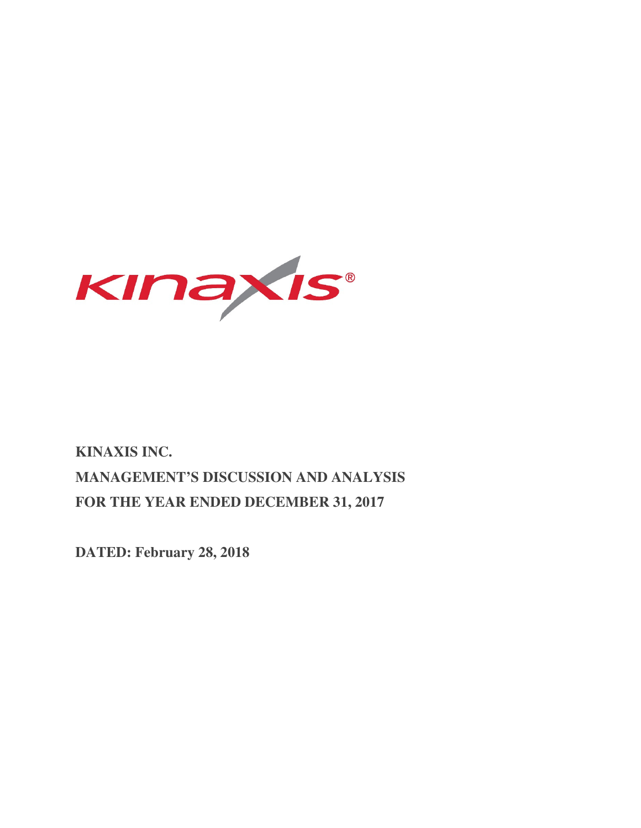

# **KINAXIS INC. MANAGEMENT'S DISCUSSION AND ANALYSIS FOR THE YEAR ENDED DECEMBER 31, 2017**

**DATED: February 28, 2018**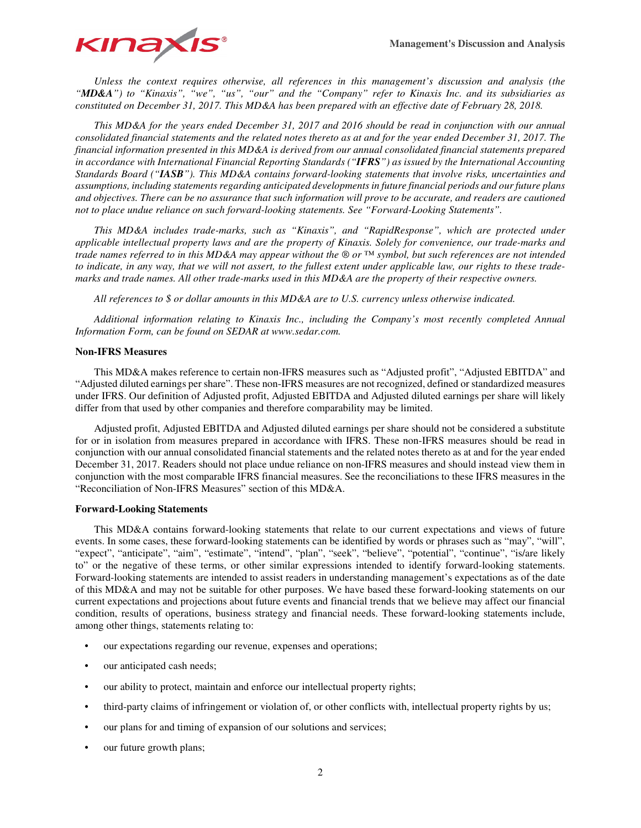

*Unless the context requires otherwise, all references in this management's discussion and analysis (the "MD&A") to "Kinaxis", "we", "us", "our" and the "Company" refer to Kinaxis Inc. and its subsidiaries as constituted on December 31, 2017. This MD&A has been prepared with an effective date of February 28, 2018.* 

*This MD&A for the years ended December 31, 2017 and 2016 should be read in conjunction with our annual consolidated financial statements and the related notes thereto as at and for the year ended December 31, 2017. The financial information presented in this MD&A is derived from our annual consolidated financial statements prepared in accordance with International Financial Reporting Standards ("IFRS") as issued by the International Accounting Standards Board ("IASB"). This MD&A contains forward-looking statements that involve risks, uncertainties and assumptions, including statements regarding anticipated developments in future financial periods and our future plans and objectives. There can be no assurance that such information will prove to be accurate, and readers are cautioned not to place undue reliance on such forward-looking statements. See "Forward-Looking Statements".* 

*This MD&A includes trade-marks, such as "Kinaxis", and "RapidResponse", which are protected under applicable intellectual property laws and are the property of Kinaxis. Solely for convenience, our trade-marks and trade names referred to in this MD&A may appear without the ® or ™ symbol, but such references are not intended to indicate, in any way, that we will not assert, to the fullest extent under applicable law, our rights to these trademarks and trade names. All other trade-marks used in this MD&A are the property of their respective owners.* 

*All references to \$ or dollar amounts in this MD&A are to U.S. currency unless otherwise indicated.* 

*Additional information relating to Kinaxis Inc., including the Company's most recently completed Annual Information Form, can be found on SEDAR at www.sedar.com.* 

## **Non-IFRS Measures**

This MD&A makes reference to certain non-IFRS measures such as "Adjusted profit", "Adjusted EBITDA" and "Adjusted diluted earnings per share". These non-IFRS measures are not recognized, defined or standardized measures under IFRS. Our definition of Adjusted profit, Adjusted EBITDA and Adjusted diluted earnings per share will likely differ from that used by other companies and therefore comparability may be limited.

Adjusted profit, Adjusted EBITDA and Adjusted diluted earnings per share should not be considered a substitute for or in isolation from measures prepared in accordance with IFRS. These non-IFRS measures should be read in conjunction with our annual consolidated financial statements and the related notes thereto as at and for the year ended December 31, 2017. Readers should not place undue reliance on non-IFRS measures and should instead view them in conjunction with the most comparable IFRS financial measures. See the reconciliations to these IFRS measures in the "Reconciliation of Non-IFRS Measures" section of this MD&A.

## **Forward-Looking Statements**

This MD&A contains forward-looking statements that relate to our current expectations and views of future events. In some cases, these forward-looking statements can be identified by words or phrases such as "may", "will", "expect", "anticipate", "aim", "estimate", "intend", "plan", "seek", "believe", "potential", "continue", "is/are likely to" or the negative of these terms, or other similar expressions intended to identify forward-looking statements. Forward-looking statements are intended to assist readers in understanding management's expectations as of the date of this MD&A and may not be suitable for other purposes. We have based these forward-looking statements on our current expectations and projections about future events and financial trends that we believe may affect our financial condition, results of operations, business strategy and financial needs. These forward-looking statements include, among other things, statements relating to:

- our expectations regarding our revenue, expenses and operations;
- our anticipated cash needs;
- our ability to protect, maintain and enforce our intellectual property rights;
- third-party claims of infringement or violation of, or other conflicts with, intellectual property rights by us;
- our plans for and timing of expansion of our solutions and services;
- our future growth plans;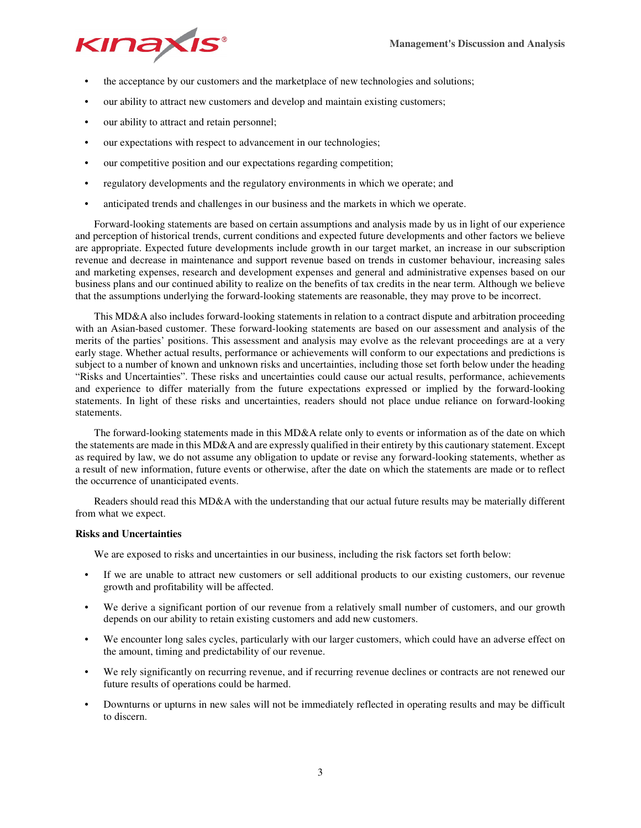

- the acceptance by our customers and the marketplace of new technologies and solutions;
- our ability to attract new customers and develop and maintain existing customers;
- our ability to attract and retain personnel;
- our expectations with respect to advancement in our technologies;
- our competitive position and our expectations regarding competition;
- regulatory developments and the regulatory environments in which we operate; and
- anticipated trends and challenges in our business and the markets in which we operate.

Forward-looking statements are based on certain assumptions and analysis made by us in light of our experience and perception of historical trends, current conditions and expected future developments and other factors we believe are appropriate. Expected future developments include growth in our target market, an increase in our subscription revenue and decrease in maintenance and support revenue based on trends in customer behaviour, increasing sales and marketing expenses, research and development expenses and general and administrative expenses based on our business plans and our continued ability to realize on the benefits of tax credits in the near term. Although we believe that the assumptions underlying the forward-looking statements are reasonable, they may prove to be incorrect.

This MD&A also includes forward-looking statements in relation to a contract dispute and arbitration proceeding with an Asian-based customer. These forward-looking statements are based on our assessment and analysis of the merits of the parties' positions. This assessment and analysis may evolve as the relevant proceedings are at a very early stage. Whether actual results, performance or achievements will conform to our expectations and predictions is subject to a number of known and unknown risks and uncertainties, including those set forth below under the heading "Risks and Uncertainties". These risks and uncertainties could cause our actual results, performance, achievements and experience to differ materially from the future expectations expressed or implied by the forward-looking statements. In light of these risks and uncertainties, readers should not place undue reliance on forward-looking statements.

The forward-looking statements made in this MD&A relate only to events or information as of the date on which the statements are made in this MD&A and are expressly qualified in their entirety by this cautionary statement. Except as required by law, we do not assume any obligation to update or revise any forward-looking statements, whether as a result of new information, future events or otherwise, after the date on which the statements are made or to reflect the occurrence of unanticipated events.

Readers should read this MD&A with the understanding that our actual future results may be materially different from what we expect.

## **Risks and Uncertainties**

We are exposed to risks and uncertainties in our business, including the risk factors set forth below:

- If we are unable to attract new customers or sell additional products to our existing customers, our revenue growth and profitability will be affected.
- We derive a significant portion of our revenue from a relatively small number of customers, and our growth depends on our ability to retain existing customers and add new customers.
- We encounter long sales cycles, particularly with our larger customers, which could have an adverse effect on the amount, timing and predictability of our revenue.
- We rely significantly on recurring revenue, and if recurring revenue declines or contracts are not renewed our future results of operations could be harmed.
- Downturns or upturns in new sales will not be immediately reflected in operating results and may be difficult to discern.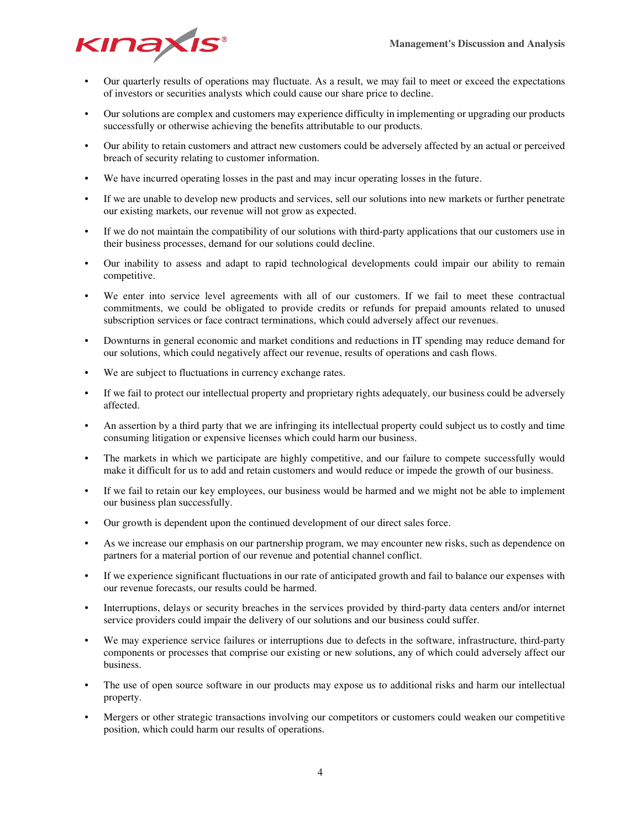

- Our quarterly results of operations may fluctuate. As a result, we may fail to meet or exceed the expectations of investors or securities analysts which could cause our share price to decline.
- Our solutions are complex and customers may experience difficulty in implementing or upgrading our products successfully or otherwise achieving the benefits attributable to our products.
- Our ability to retain customers and attract new customers could be adversely affected by an actual or perceived breach of security relating to customer information.
- We have incurred operating losses in the past and may incur operating losses in the future.
- If we are unable to develop new products and services, sell our solutions into new markets or further penetrate our existing markets, our revenue will not grow as expected.
- If we do not maintain the compatibility of our solutions with third-party applications that our customers use in their business processes, demand for our solutions could decline.
- Our inability to assess and adapt to rapid technological developments could impair our ability to remain competitive.
- We enter into service level agreements with all of our customers. If we fail to meet these contractual commitments, we could be obligated to provide credits or refunds for prepaid amounts related to unused subscription services or face contract terminations, which could adversely affect our revenues.
- Downturns in general economic and market conditions and reductions in IT spending may reduce demand for our solutions, which could negatively affect our revenue, results of operations and cash flows.
- We are subject to fluctuations in currency exchange rates.
- If we fail to protect our intellectual property and proprietary rights adequately, our business could be adversely affected.
- An assertion by a third party that we are infringing its intellectual property could subject us to costly and time consuming litigation or expensive licenses which could harm our business.
- The markets in which we participate are highly competitive, and our failure to compete successfully would make it difficult for us to add and retain customers and would reduce or impede the growth of our business.
- If we fail to retain our key employees, our business would be harmed and we might not be able to implement our business plan successfully.
- Our growth is dependent upon the continued development of our direct sales force.
- As we increase our emphasis on our partnership program, we may encounter new risks, such as dependence on partners for a material portion of our revenue and potential channel conflict.
- If we experience significant fluctuations in our rate of anticipated growth and fail to balance our expenses with our revenue forecasts, our results could be harmed.
- Interruptions, delays or security breaches in the services provided by third-party data centers and/or internet service providers could impair the delivery of our solutions and our business could suffer.
- We may experience service failures or interruptions due to defects in the software, infrastructure, third-party components or processes that comprise our existing or new solutions, any of which could adversely affect our business.
- The use of open source software in our products may expose us to additional risks and harm our intellectual property.
- Mergers or other strategic transactions involving our competitors or customers could weaken our competitive position, which could harm our results of operations.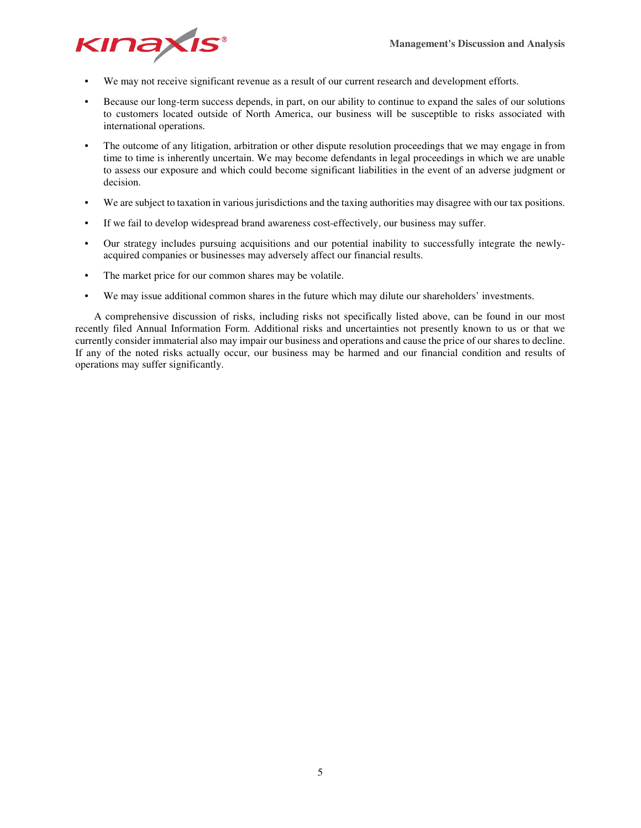

- We may not receive significant revenue as a result of our current research and development efforts.
- Because our long-term success depends, in part, on our ability to continue to expand the sales of our solutions to customers located outside of North America, our business will be susceptible to risks associated with international operations.
- The outcome of any litigation, arbitration or other dispute resolution proceedings that we may engage in from time to time is inherently uncertain. We may become defendants in legal proceedings in which we are unable to assess our exposure and which could become significant liabilities in the event of an adverse judgment or decision.
- We are subject to taxation in various jurisdictions and the taxing authorities may disagree with our tax positions.
- If we fail to develop widespread brand awareness cost-effectively, our business may suffer.
- Our strategy includes pursuing acquisitions and our potential inability to successfully integrate the newlyacquired companies or businesses may adversely affect our financial results.
- The market price for our common shares may be volatile.
- We may issue additional common shares in the future which may dilute our shareholders' investments.

A comprehensive discussion of risks, including risks not specifically listed above, can be found in our most recently filed Annual Information Form. Additional risks and uncertainties not presently known to us or that we currently consider immaterial also may impair our business and operations and cause the price of our shares to decline. If any of the noted risks actually occur, our business may be harmed and our financial condition and results of operations may suffer significantly.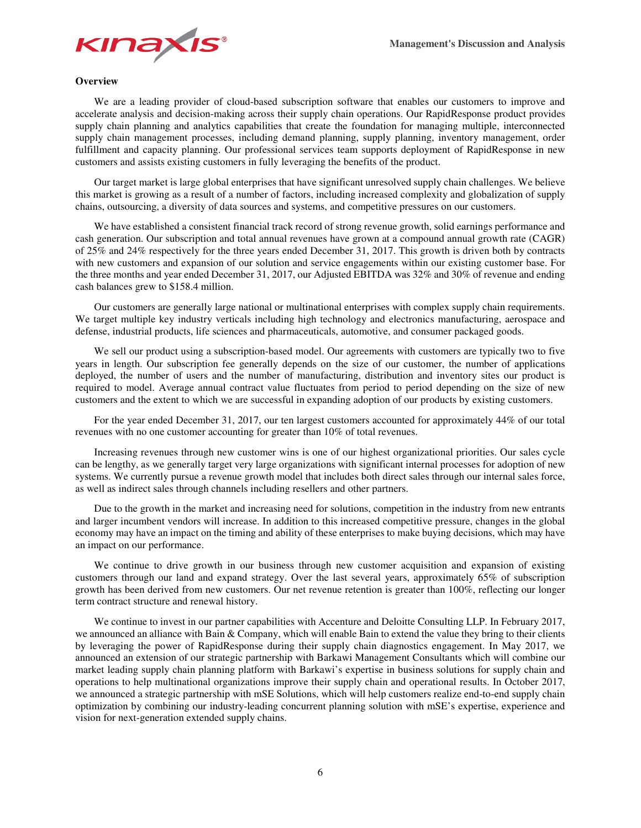

## **Overview**

We are a leading provider of cloud-based subscription software that enables our customers to improve and accelerate analysis and decision-making across their supply chain operations. Our RapidResponse product provides supply chain planning and analytics capabilities that create the foundation for managing multiple, interconnected supply chain management processes, including demand planning, supply planning, inventory management, order fulfillment and capacity planning. Our professional services team supports deployment of RapidResponse in new customers and assists existing customers in fully leveraging the benefits of the product.

Our target market is large global enterprises that have significant unresolved supply chain challenges. We believe this market is growing as a result of a number of factors, including increased complexity and globalization of supply chains, outsourcing, a diversity of data sources and systems, and competitive pressures on our customers.

We have established a consistent financial track record of strong revenue growth, solid earnings performance and cash generation. Our subscription and total annual revenues have grown at a compound annual growth rate (CAGR) of 25% and 24% respectively for the three years ended December 31, 2017. This growth is driven both by contracts with new customers and expansion of our solution and service engagements within our existing customer base. For the three months and year ended December 31, 2017, our Adjusted EBITDA was 32% and 30% of revenue and ending cash balances grew to \$158.4 million.

Our customers are generally large national or multinational enterprises with complex supply chain requirements. We target multiple key industry verticals including high technology and electronics manufacturing, aerospace and defense, industrial products, life sciences and pharmaceuticals, automotive, and consumer packaged goods.

We sell our product using a subscription-based model. Our agreements with customers are typically two to five years in length. Our subscription fee generally depends on the size of our customer, the number of applications deployed, the number of users and the number of manufacturing, distribution and inventory sites our product is required to model. Average annual contract value fluctuates from period to period depending on the size of new customers and the extent to which we are successful in expanding adoption of our products by existing customers.

For the year ended December 31, 2017, our ten largest customers accounted for approximately 44% of our total revenues with no one customer accounting for greater than 10% of total revenues.

Increasing revenues through new customer wins is one of our highest organizational priorities. Our sales cycle can be lengthy, as we generally target very large organizations with significant internal processes for adoption of new systems. We currently pursue a revenue growth model that includes both direct sales through our internal sales force, as well as indirect sales through channels including resellers and other partners.

Due to the growth in the market and increasing need for solutions, competition in the industry from new entrants and larger incumbent vendors will increase. In addition to this increased competitive pressure, changes in the global economy may have an impact on the timing and ability of these enterprises to make buying decisions, which may have an impact on our performance.

We continue to drive growth in our business through new customer acquisition and expansion of existing customers through our land and expand strategy. Over the last several years, approximately 65% of subscription growth has been derived from new customers. Our net revenue retention is greater than 100%, reflecting our longer term contract structure and renewal history.

We continue to invest in our partner capabilities with Accenture and Deloitte Consulting LLP. In February 2017, we announced an alliance with Bain & Company, which will enable Bain to extend the value they bring to their clients by leveraging the power of RapidResponse during their supply chain diagnostics engagement. In May 2017, we announced an extension of our strategic partnership with Barkawi Management Consultants which will combine our market leading supply chain planning platform with Barkawi's expertise in business solutions for supply chain and operations to help multinational organizations improve their supply chain and operational results. In October 2017, we announced a strategic partnership with mSE Solutions, which will help customers realize end-to-end supply chain optimization by combining our industry-leading concurrent planning solution with mSE's expertise, experience and vision for next-generation extended supply chains.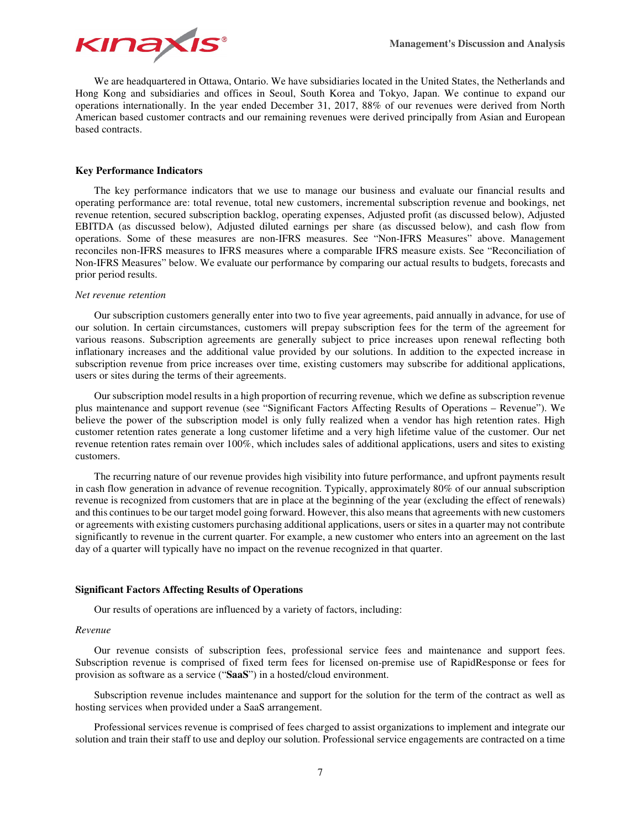

We are headquartered in Ottawa, Ontario. We have subsidiaries located in the United States, the Netherlands and Hong Kong and subsidiaries and offices in Seoul, South Korea and Tokyo, Japan. We continue to expand our operations internationally. In the year ended December 31, 2017, 88% of our revenues were derived from North American based customer contracts and our remaining revenues were derived principally from Asian and European based contracts.

## **Key Performance Indicators**

The key performance indicators that we use to manage our business and evaluate our financial results and operating performance are: total revenue, total new customers, incremental subscription revenue and bookings, net revenue retention, secured subscription backlog, operating expenses, Adjusted profit (as discussed below), Adjusted EBITDA (as discussed below), Adjusted diluted earnings per share (as discussed below), and cash flow from operations. Some of these measures are non-IFRS measures. See "Non-IFRS Measures" above. Management reconciles non-IFRS measures to IFRS measures where a comparable IFRS measure exists. See "Reconciliation of Non-IFRS Measures" below. We evaluate our performance by comparing our actual results to budgets, forecasts and prior period results.

#### *Net revenue retention*

Our subscription customers generally enter into two to five year agreements, paid annually in advance, for use of our solution. In certain circumstances, customers will prepay subscription fees for the term of the agreement for various reasons. Subscription agreements are generally subject to price increases upon renewal reflecting both inflationary increases and the additional value provided by our solutions. In addition to the expected increase in subscription revenue from price increases over time, existing customers may subscribe for additional applications, users or sites during the terms of their agreements.

Our subscription model results in a high proportion of recurring revenue, which we define as subscription revenue plus maintenance and support revenue (see "Significant Factors Affecting Results of Operations – Revenue"). We believe the power of the subscription model is only fully realized when a vendor has high retention rates. High customer retention rates generate a long customer lifetime and a very high lifetime value of the customer. Our net revenue retention rates remain over 100%, which includes sales of additional applications, users and sites to existing customers.

The recurring nature of our revenue provides high visibility into future performance, and upfront payments result in cash flow generation in advance of revenue recognition. Typically, approximately 80% of our annual subscription revenue is recognized from customers that are in place at the beginning of the year (excluding the effect of renewals) and this continues to be our target model going forward. However, this also means that agreements with new customers or agreements with existing customers purchasing additional applications, users or sites in a quarter may not contribute significantly to revenue in the current quarter. For example, a new customer who enters into an agreement on the last day of a quarter will typically have no impact on the revenue recognized in that quarter.

#### **Significant Factors Affecting Results of Operations**

Our results of operations are influenced by a variety of factors, including:

#### *Revenue*

Our revenue consists of subscription fees, professional service fees and maintenance and support fees. Subscription revenue is comprised of fixed term fees for licensed on-premise use of RapidResponse or fees for provision as software as a service ("**SaaS**") in a hosted/cloud environment.

Subscription revenue includes maintenance and support for the solution for the term of the contract as well as hosting services when provided under a SaaS arrangement.

Professional services revenue is comprised of fees charged to assist organizations to implement and integrate our solution and train their staff to use and deploy our solution. Professional service engagements are contracted on a time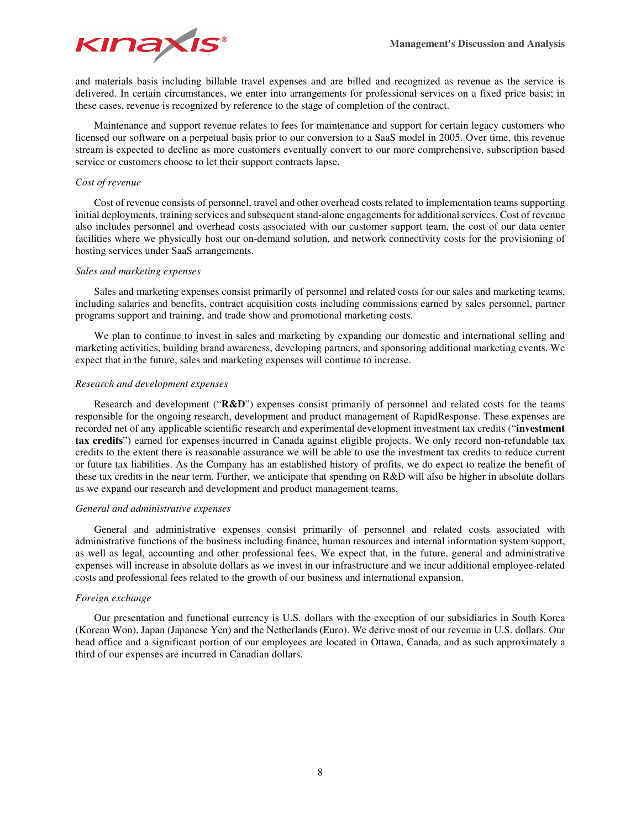

and materials basis including billable travel expenses and are billed and recognized as revenue as the service is delivered. In certain circumstances, we enter into arrangements for professional services on a fixed price basis; in these cases, revenue is recognized by reference to the stage of completion of the contract.

Maintenance and support revenue relates to fees for maintenance and support for certain legacy customers who licensed our software on a perpetual basis prior to our conversion to a SaaS model in 2005. Over time, this revenue stream is expected to decline as more customers eventually convert to our more comprehensive, subscription based service or customers choose to let their support contracts lapse.

## *Cost of revenue*

Cost of revenue consists of personnel, travel and other overhead costs related to implementation teams supporting initial deployments, training services and subsequent stand-alone engagements for additional services. Cost of revenue also includes personnel and overhead costs associated with our customer support team, the cost of our data center facilities where we physically host our on-demand solution, and network connectivity costs for the provisioning of hosting services under SaaS arrangements.

## *Sales and marketing expenses*

Sales and marketing expenses consist primarily of personnel and related costs for our sales and marketing teams, including salaries and benefits, contract acquisition costs including commissions earned by sales personnel, partner programs support and training, and trade show and promotional marketing costs.

We plan to continue to invest in sales and marketing by expanding our domestic and international selling and marketing activities, building brand awareness, developing partners, and sponsoring additional marketing events. We expect that in the future, sales and marketing expenses will continue to increase.

## *Research and development expenses*

Research and development ("**R&D**") expenses consist primarily of personnel and related costs for the teams responsible for the ongoing research, development and product management of RapidResponse. These expenses are recorded net of any applicable scientific research and experimental development investment tax credits ("**investment tax credits**") earned for expenses incurred in Canada against eligible projects. We only record non-refundable tax credits to the extent there is reasonable assurance we will be able to use the investment tax credits to reduce current or future tax liabilities. As the Company has an established history of profits, we do expect to realize the benefit of these tax credits in the near term. Further, we anticipate that spending on R&D will also be higher in absolute dollars as we expand our research and development and product management teams.

## *General and administrative expenses*

General and administrative expenses consist primarily of personnel and related costs associated with administrative functions of the business including finance, human resources and internal information system support, as well as legal, accounting and other professional fees. We expect that, in the future, general and administrative expenses will increase in absolute dollars as we invest in our infrastructure and we incur additional employee-related costs and professional fees related to the growth of our business and international expansion.

## *Foreign exchange*

Our presentation and functional currency is U.S. dollars with the exception of our subsidiaries in South Korea (Korean Won), Japan (Japanese Yen) and the Netherlands (Euro). We derive most of our revenue in U.S. dollars. Our head office and a significant portion of our employees are located in Ottawa, Canada, and as such approximately a third of our expenses are incurred in Canadian dollars.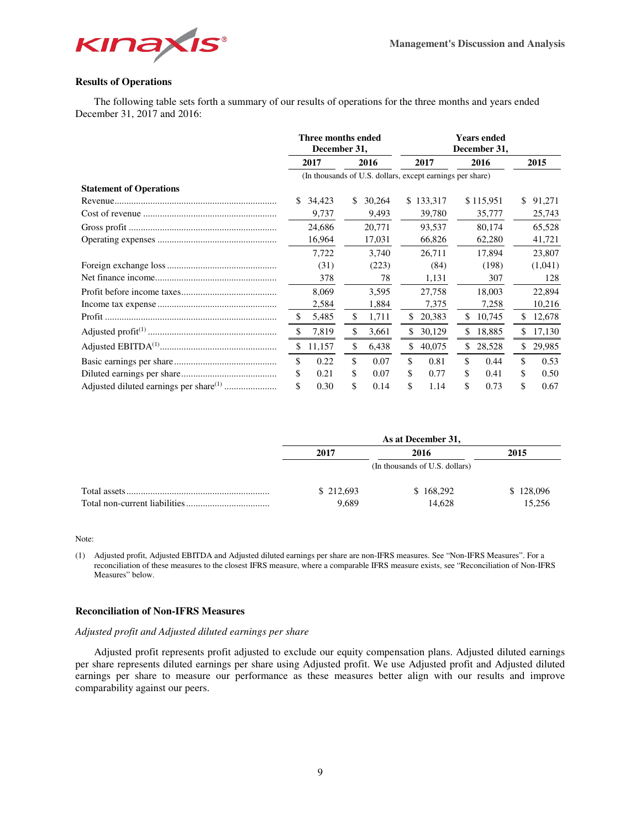

## **Results of Operations**

The following table sets forth a summary of our results of operations for the three months and years ended December 31, 2017 and 2016:

|                                | Three months ended<br>December 31, |        |      |        |                                                           | <b>Years ended</b><br>December 31, |     |           |    |         |  |
|--------------------------------|------------------------------------|--------|------|--------|-----------------------------------------------------------|------------------------------------|-----|-----------|----|---------|--|
|                                | 2017                               |        | 2016 |        |                                                           | 2017                               |     | 2016      |    | 2015    |  |
|                                |                                    |        |      |        | (In thousands of U.S. dollars, except earnings per share) |                                    |     |           |    |         |  |
| <b>Statement of Operations</b> |                                    |        |      |        |                                                           |                                    |     |           |    |         |  |
|                                | S.                                 | 34,423 | S.   | 30,264 |                                                           | \$133,317                          |     | \$115,951 | \$ | 91,271  |  |
|                                |                                    | 9,737  |      | 9,493  |                                                           | 39,780                             |     | 35,777    |    | 25,743  |  |
|                                |                                    | 24.686 |      | 20.771 |                                                           | 93,537                             |     | 80.174    |    | 65,528  |  |
|                                |                                    | 16,964 |      | 17,031 |                                                           | 66,826                             |     | 62,280    |    | 41,721  |  |
|                                |                                    | 7.722  |      | 3.740  |                                                           | 26.711                             |     | 17.894    |    | 23,807  |  |
|                                |                                    | (31)   |      | (223)  |                                                           | (84)                               |     | (198)     |    | (1,041) |  |
|                                |                                    | 378    |      | 78     |                                                           | 1,131                              |     | 307       |    | 128     |  |
|                                |                                    | 8.069  |      | 3,595  |                                                           | 27,758                             |     | 18,003    |    | 22,894  |  |
|                                |                                    | 2,584  |      | 1,884  |                                                           | 7,375                              |     | 7,258     |    | 10,216  |  |
|                                |                                    | 5,485  | \$   | 1,711  | S.                                                        | 20,383                             | \$. | 10,745    |    | 12,678  |  |
|                                | \$.                                | 7,819  | \$   | 3,661  | \$                                                        | 30,129                             | \$  | 18,885    | \$ | 17,130  |  |
|                                | \$                                 | 11,157 | \$   | 6,438  | \$                                                        | 40,075                             | \$  | 28,528    | \$ | 29,985  |  |
|                                | \$                                 | 0.22   | \$   | 0.07   | \$                                                        | 0.81                               | \$  | 0.44      | \$ | 0.53    |  |
|                                |                                    | 0.21   | \$   | 0.07   | S                                                         | 0.77                               | \$  | 0.41      | \$ | 0.50    |  |
|                                |                                    | 0.30   | \$   | 0.14   | S                                                         | 1.14                               | \$  | 0.73      | \$ | 0.67    |  |

| As at December 31, |                                |           |  |  |  |  |
|--------------------|--------------------------------|-----------|--|--|--|--|
| 2017               | 2016                           | 2015      |  |  |  |  |
|                    | (In thousands of U.S. dollars) |           |  |  |  |  |
| \$212,693          | \$168,292                      | \$128,096 |  |  |  |  |
| 9.689              | 14.628                         | 15.256    |  |  |  |  |

Note:

(1) Adjusted profit, Adjusted EBITDA and Adjusted diluted earnings per share are non-IFRS measures. See "Non-IFRS Measures". For a reconciliation of these measures to the closest IFRS measure, where a comparable IFRS measure exists, see "Reconciliation of Non-IFRS Measures" below.

## **Reconciliation of Non-IFRS Measures**

## *Adjusted profit and Adjusted diluted earnings per share*

Adjusted profit represents profit adjusted to exclude our equity compensation plans. Adjusted diluted earnings per share represents diluted earnings per share using Adjusted profit. We use Adjusted profit and Adjusted diluted earnings per share to measure our performance as these measures better align with our results and improve comparability against our peers.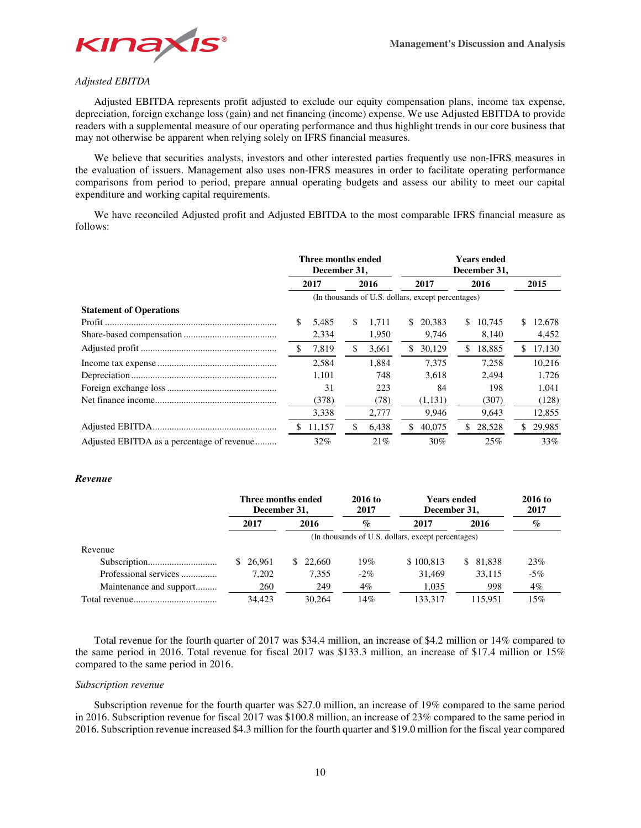

## *Adjusted EBITDA*

Adjusted EBITDA represents profit adjusted to exclude our equity compensation plans, income tax expense, depreciation, foreign exchange loss (gain) and net financing (income) expense. We use Adjusted EBITDA to provide readers with a supplemental measure of our operating performance and thus highlight trends in our core business that may not otherwise be apparent when relying solely on IFRS financial measures.

We believe that securities analysts, investors and other interested parties frequently use non-IFRS measures in the evaluation of issuers. Management also uses non-IFRS measures in order to facilitate operating performance comparisons from period to period, prepare annual operating budgets and assess our ability to meet our capital expenditure and working capital requirements.

We have reconciled Adjusted profit and Adjusted EBITDA to the most comparable IFRS financial measure as follows:

|                                            | Three months ended<br>December 31, |        |      | <b>Years ended</b><br>December 31, |                                                    |         |      |        |    |        |
|--------------------------------------------|------------------------------------|--------|------|------------------------------------|----------------------------------------------------|---------|------|--------|----|--------|
|                                            | 2017                               |        | 2016 |                                    | 2017                                               |         | 2016 |        |    | 2015   |
|                                            |                                    |        |      |                                    | (In thousands of U.S. dollars, except percentages) |         |      |        |    |        |
| <b>Statement of Operations</b>             |                                    |        |      |                                    |                                                    |         |      |        |    |        |
|                                            |                                    | 5,485  | \$.  | 1.711                              | S.                                                 | 20.383  | \$.  | 10.745 | S. | 12,678 |
|                                            |                                    | 2,334  |      | 1,950                              |                                                    | 9,746   |      | 8,140  |    | 4,452  |
|                                            | \$.                                | 7,819  | \$.  | 3,661                              | \$                                                 | 30,129  | \$.  | 18,885 |    | 17,130 |
|                                            |                                    | 2.584  |      | 1.884                              |                                                    | 7.375   |      | 7.258  |    | 10.216 |
|                                            |                                    | 1,101  |      | 748                                |                                                    | 3,618   |      | 2.494  |    | 1,726  |
|                                            |                                    | 31     |      | 223                                |                                                    | 84      |      | 198    |    | 1,041  |
|                                            |                                    | (378)  |      | (78)                               |                                                    | (1,131) |      | (307)  |    | (128)  |
|                                            |                                    | 3,338  |      | 2.777                              |                                                    | 9.946   |      | 9.643  |    | 12,855 |
|                                            | S.                                 | 11,157 |      | 6,438                              | \$                                                 | 40,075  | \$.  | 28,528 | S. | 29,985 |
| Adjusted EBITDA as a percentage of revenue |                                    | 32%    |      | 21%                                |                                                    | 30%     |      | 25%    |    | 33%    |

## *Revenue*

|                         | Three months ended<br>December 31, |           | 2016 to<br>2017 |                                                    | Years ended<br>December 31, |        |  |  |  |
|-------------------------|------------------------------------|-----------|-----------------|----------------------------------------------------|-----------------------------|--------|--|--|--|
|                         | 2017                               | 2016      | $\mathcal{O}_0$ | 2017                                               | 2016                        | $\%$   |  |  |  |
|                         |                                    |           |                 | (In thousands of U.S. dollars, except percentages) |                             |        |  |  |  |
| Revenue                 |                                    |           |                 |                                                    |                             |        |  |  |  |
|                         | \$ 26,961                          | \$ 22,660 | 19%             | \$100,813                                          | 81,838<br>\$.               | 23%    |  |  |  |
| Professional services   | 7.202                              | 7,355     | $-2\%$          | 31.469                                             | 33.115                      | $-5\%$ |  |  |  |
| Maintenance and support | 260                                | 249       | 4%              | 1,035                                              | 998                         | $4\%$  |  |  |  |
|                         | 34.423                             | 30.264    | 14%             | 133.317                                            | 115.951                     | 15%    |  |  |  |

Total revenue for the fourth quarter of 2017 was \$34.4 million, an increase of \$4.2 million or 14% compared to the same period in 2016. Total revenue for fiscal 2017 was \$133.3 million, an increase of \$17.4 million or 15% compared to the same period in 2016.

## *Subscription revenue*

Subscription revenue for the fourth quarter was \$27.0 million, an increase of 19% compared to the same period in 2016. Subscription revenue for fiscal 2017 was \$100.8 million, an increase of 23% compared to the same period in 2016. Subscription revenue increased \$4.3 million for the fourth quarter and \$19.0 million for the fiscal year compared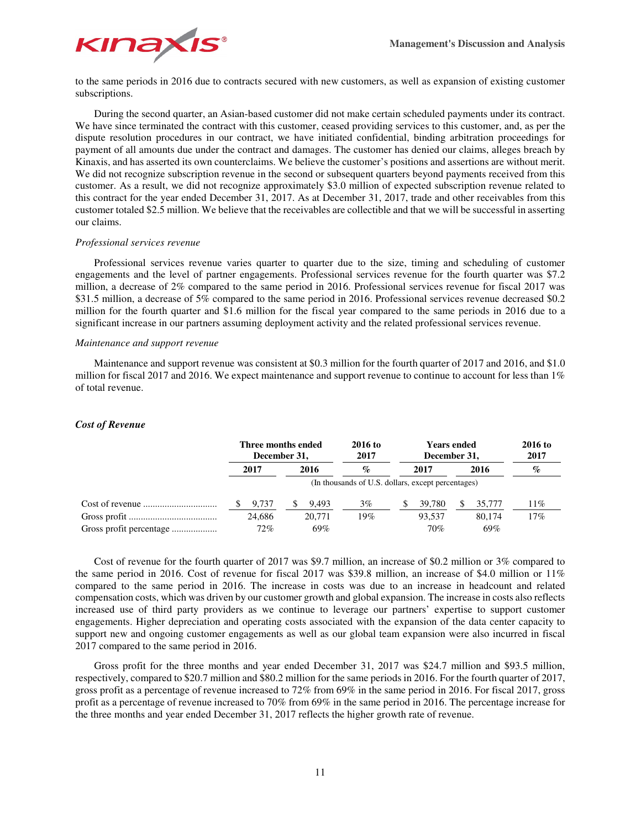

to the same periods in 2016 due to contracts secured with new customers, as well as expansion of existing customer subscriptions.

During the second quarter, an Asian-based customer did not make certain scheduled payments under its contract. We have since terminated the contract with this customer, ceased providing services to this customer, and, as per the dispute resolution procedures in our contract, we have initiated confidential, binding arbitration proceedings for payment of all amounts due under the contract and damages. The customer has denied our claims, alleges breach by Kinaxis, and has asserted its own counterclaims. We believe the customer's positions and assertions are without merit. We did not recognize subscription revenue in the second or subsequent quarters beyond payments received from this customer. As a result, we did not recognize approximately \$3.0 million of expected subscription revenue related to this contract for the year ended December 31, 2017. As at December 31, 2017, trade and other receivables from this customer totaled \$2.5 million. We believe that the receivables are collectible and that we will be successful in asserting our claims.

## *Professional services revenue*

Professional services revenue varies quarter to quarter due to the size, timing and scheduling of customer engagements and the level of partner engagements. Professional services revenue for the fourth quarter was \$7.2 million, a decrease of 2% compared to the same period in 2016. Professional services revenue for fiscal 2017 was \$31.5 million, a decrease of 5% compared to the same period in 2016. Professional services revenue decreased \$0.2 million for the fourth quarter and \$1.6 million for the fiscal year compared to the same periods in 2016 due to a significant increase in our partners assuming deployment activity and the related professional services revenue.

## *Maintenance and support revenue*

*Cost of Revenue* 

Maintenance and support revenue was consistent at \$0.3 million for the fourth quarter of 2017 and 2016, and \$1.0 million for fiscal 2017 and 2016. We expect maintenance and support revenue to continue to account for less than 1% of total revenue.

## **Three months ended December 31,**

|                         | December 31,                                       |        | . | -------<br>2017 |       | ----<br>2017 |        |  |        |                 |  |  |  |
|-------------------------|----------------------------------------------------|--------|---|-----------------|-------|--------------|--------|--|--------|-----------------|--|--|--|
|                         |                                                    | 2017   |   | 2016            | $\%$  |              | 2017   |  | 2016   | $\mathcal{O}_0$ |  |  |  |
|                         | (In thousands of U.S. dollars, except percentages) |        |   |                 |       |              |        |  |        |                 |  |  |  |
|                         |                                                    | 9.737  |   | 9.493           | $3\%$ |              | 39.780 |  | 35,777 | 11%             |  |  |  |
|                         |                                                    | 24.686 |   | 20,771          | 19%   |              | 93.537 |  | 80.174 | 17%             |  |  |  |
| Gross profit percentage |                                                    | $72\%$ |   | 69%             |       |              | 70%    |  | 69%    |                 |  |  |  |

**2016 to** 

**Years ended** 

**2016 to** 

Cost of revenue for the fourth quarter of 2017 was \$9.7 million, an increase of \$0.2 million or 3% compared to the same period in 2016. Cost of revenue for fiscal 2017 was \$39.8 million, an increase of \$4.0 million or 11% compared to the same period in 2016. The increase in costs was due to an increase in headcount and related compensation costs, which was driven by our customer growth and global expansion. The increase in costs also reflects increased use of third party providers as we continue to leverage our partners' expertise to support customer engagements. Higher depreciation and operating costs associated with the expansion of the data center capacity to support new and ongoing customer engagements as well as our global team expansion were also incurred in fiscal 2017 compared to the same period in 2016.

Gross profit for the three months and year ended December 31, 2017 was \$24.7 million and \$93.5 million, respectively, compared to \$20.7 million and \$80.2 million for the same periods in 2016. For the fourth quarter of 2017, gross profit as a percentage of revenue increased to 72% from 69% in the same period in 2016. For fiscal 2017, gross profit as a percentage of revenue increased to 70% from 69% in the same period in 2016. The percentage increase for the three months and year ended December 31, 2017 reflects the higher growth rate of revenue.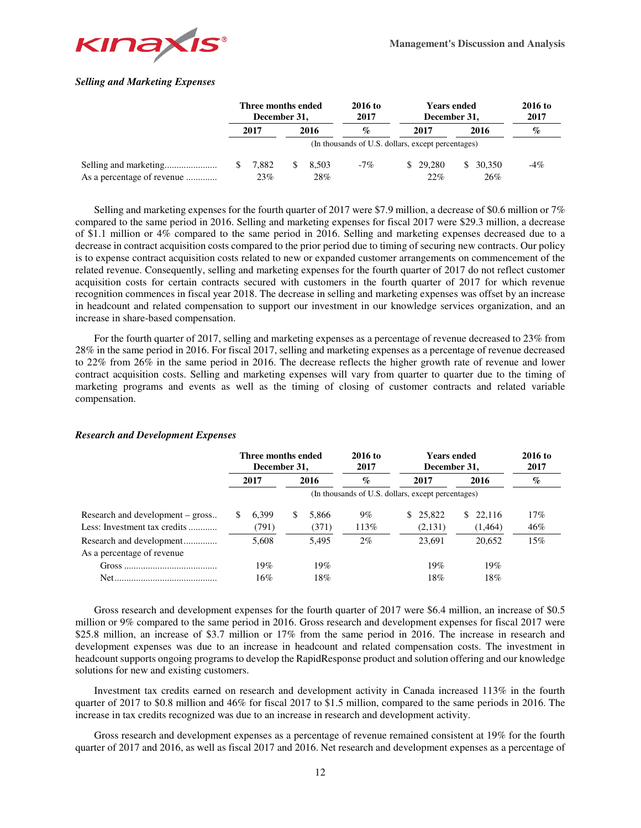

## *Selling and Marketing Expenses*

|                            | Three months ended<br>December 31, |  |       | 2016 to<br>2017                                    |  | <b>Years ended</b><br>December 31, | 2016 to<br>2017 |        |        |
|----------------------------|------------------------------------|--|-------|----------------------------------------------------|--|------------------------------------|-----------------|--------|--------|
|                            | 2017                               |  | 2016  | $\mathcal{O}'$                                     |  | 2017                               |                 | 2016   | $\%$   |
|                            |                                    |  |       | (In thousands of U.S. dollars, except percentages) |  |                                    |                 |        |        |
|                            | 7.882                              |  | 8.503 | $-7\%$                                             |  | \$ 29,280                          | -SS             | 30.350 | $-4\%$ |
| As a percentage of revenue | 23%                                |  | 28%   |                                                    |  | 22%                                |                 | 26%    |        |

Selling and marketing expenses for the fourth quarter of 2017 were \$7.9 million, a decrease of \$0.6 million or 7% compared to the same period in 2016. Selling and marketing expenses for fiscal 2017 were \$29.3 million, a decrease of \$1.1 million or 4% compared to the same period in 2016. Selling and marketing expenses decreased due to a decrease in contract acquisition costs compared to the prior period due to timing of securing new contracts. Our policy is to expense contract acquisition costs related to new or expanded customer arrangements on commencement of the related revenue. Consequently, selling and marketing expenses for the fourth quarter of 2017 do not reflect customer acquisition costs for certain contracts secured with customers in the fourth quarter of 2017 for which revenue recognition commences in fiscal year 2018. The decrease in selling and marketing expenses was offset by an increase in headcount and related compensation to support our investment in our knowledge services organization, and an increase in share-based compensation.

For the fourth quarter of 2017, selling and marketing expenses as a percentage of revenue decreased to 23% from 28% in the same period in 2016. For fiscal 2017, selling and marketing expenses as a percentage of revenue decreased to 22% from 26% in the same period in 2016. The decrease reflects the higher growth rate of revenue and lower contract acquisition costs. Selling and marketing expenses will vary from quarter to quarter due to the timing of marketing programs and events as well as the timing of closing of customer contracts and related variable compensation.

|                                  | Three months ended<br>December 31, |       |      | $2016$ to<br>2017 |       | 2016 to<br>2017 |          |      |         |      |
|----------------------------------|------------------------------------|-------|------|-------------------|-------|-----------------|----------|------|---------|------|
|                                  |                                    | 2017  | 2016 |                   | $\%$  | 2017            |          | 2016 |         | $\%$ |
|                                  |                                    |       |      |                   |       |                 |          |      |         |      |
| Research and development – gross |                                    | 6.399 | S.   | 5.866             | $9\%$ |                 | \$25,822 | S.   | 22.116  | 17%  |
| Less: Investment tax credits     |                                    | (791) |      | (371)             | 113%  |                 | (2,131)  |      | (1,464) | 46%  |
| Research and development         |                                    | 5.608 |      | 5.495             | $2\%$ |                 | 23.691   |      | 20.652  | 15%  |
| As a percentage of revenue       |                                    |       |      |                   |       |                 |          |      |         |      |
|                                  |                                    | 19%   |      | 19%               |       |                 | 19%      |      | 19%     |      |
|                                  |                                    | 16%   |      | 18%               |       |                 | 18%      |      | 18%     |      |

#### *Research and Development Expenses*

Gross research and development expenses for the fourth quarter of 2017 were \$6.4 million, an increase of \$0.5 million or 9% compared to the same period in 2016. Gross research and development expenses for fiscal 2017 were \$25.8 million, an increase of \$3.7 million or 17% from the same period in 2016. The increase in research and development expenses was due to an increase in headcount and related compensation costs. The investment in headcount supports ongoing programs to develop the RapidResponse product and solution offering and our knowledge solutions for new and existing customers.

Investment tax credits earned on research and development activity in Canada increased 113% in the fourth quarter of 2017 to \$0.8 million and 46% for fiscal 2017 to \$1.5 million, compared to the same periods in 2016. The increase in tax credits recognized was due to an increase in research and development activity.

Gross research and development expenses as a percentage of revenue remained consistent at 19% for the fourth quarter of 2017 and 2016, as well as fiscal 2017 and 2016. Net research and development expenses as a percentage of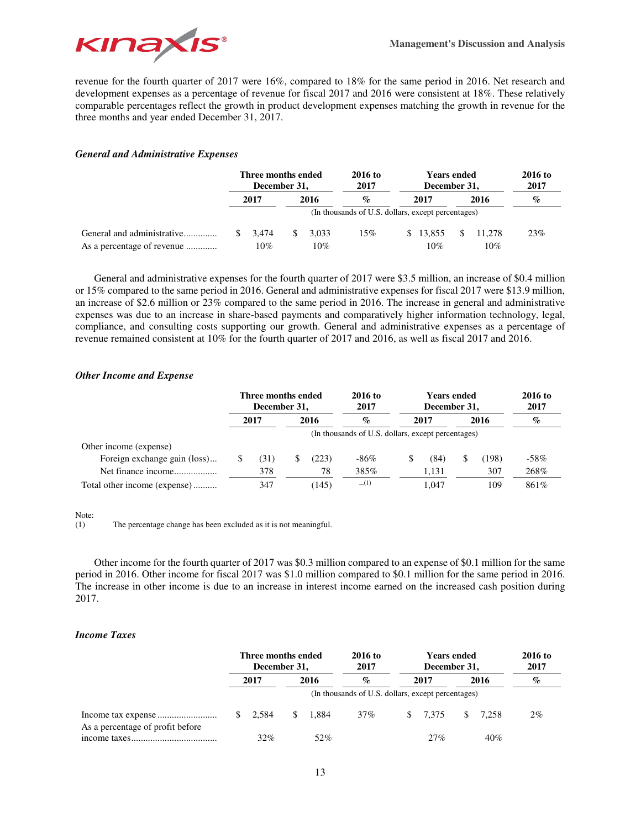

revenue for the fourth quarter of 2017 were 16%, compared to 18% for the same period in 2016. Net research and development expenses as a percentage of revenue for fiscal 2017 and 2016 were consistent at 18%. These relatively comparable percentages reflect the growth in product development expenses matching the growth in revenue for the three months and year ended December 31, 2017.

## *General and Administrative Expenses*

|                                                          |    | Three months ended<br>December 31, |      |              | 2016 to<br>2017                                    |      | <b>Years ended</b><br>December 31, | 2016 to<br>2017 |               |      |
|----------------------------------------------------------|----|------------------------------------|------|--------------|----------------------------------------------------|------|------------------------------------|-----------------|---------------|------|
|                                                          |    | 2017                               | 2016 |              | $\%$                                               | 2017 |                                    | 2016            |               | $\%$ |
|                                                          |    |                                    |      |              | (In thousands of U.S. dollars, except percentages) |      |                                    |                 |               |      |
| General and administrative<br>As a percentage of revenue | S. | 3.474<br>10%                       |      | 3.033<br>10% | 15%                                                |      | \$13,855<br>10%                    | \$.             | 11.278<br>10% | 23%  |

General and administrative expenses for the fourth quarter of 2017 were \$3.5 million, an increase of \$0.4 million or 15% compared to the same period in 2016. General and administrative expenses for fiscal 2017 were \$13.9 million, an increase of \$2.6 million or 23% compared to the same period in 2016. The increase in general and administrative expenses was due to an increase in share-based payments and comparatively higher information technology, legal, compliance, and consulting costs supporting our growth. General and administrative expenses as a percentage of revenue remained consistent at 10% for the fourth quarter of 2017 and 2016, as well as fiscal 2017 and 2016.

## *Other Income and Expense*

|                              | Three months ended<br>December 31, |      |   | 2016 to<br>2017 |                                                    | 2016 to<br>2017 |       |   |       |       |
|------------------------------|------------------------------------|------|---|-----------------|----------------------------------------------------|-----------------|-------|---|-------|-------|
|                              |                                    | 2017 |   | 2016            | $\%$                                               |                 | 2017  |   | 2016  | $\%$  |
|                              |                                    |      |   |                 | (In thousands of U.S. dollars, except percentages) |                 |       |   |       |       |
| Other income (expense)       |                                    |      |   |                 |                                                    |                 |       |   |       |       |
| Foreign exchange gain (loss) |                                    | (31) | S | (223)           | -86%                                               | S               | (84)  | S | (198) | -58%  |
| Net finance income           |                                    | 378  |   | 78              | 385%                                               |                 | 1.131 |   | 307   | 268%  |
| Total other income (expense) |                                    | 347  |   | (145)           | (1)                                                |                 | 1.047 |   | 109   | 861\% |

## Note:<br> $(1)$

The percentage change has been excluded as it is not meaningful.

Other income for the fourth quarter of 2017 was \$0.3 million compared to an expense of \$0.1 million for the same period in 2016. Other income for fiscal 2017 was \$1.0 million compared to \$0.1 million for the same period in 2016. The increase in other income is due to an increase in interest income earned on the increased cash position during 2017.

## *Income Taxes*

|                                  | Three months ended<br>December 31, |              |       | 2016 to<br>2017 |                                                    | 2016 to<br>2017 |      |       |                  |  |
|----------------------------------|------------------------------------|--------------|-------|-----------------|----------------------------------------------------|-----------------|------|-------|------------------|--|
|                                  | 2017                               |              | 2016  | $\mathcal{O}_0$ |                                                    | 2017            | 2016 |       | $\mathcal{O}'_0$ |  |
|                                  |                                    |              |       |                 | (In thousands of U.S. dollars, except percentages) |                 |      |       |                  |  |
| As a percentage of profit before | $\frac{\$}{2.584}$                 | $\mathbb{S}$ | 1.884 | $37\%$          |                                                    | \$ 7.375        | \$.  | 7.258 | $2\%$            |  |
|                                  | 32%                                |              | 52%   |                 |                                                    | 27%             |      | 40%   |                  |  |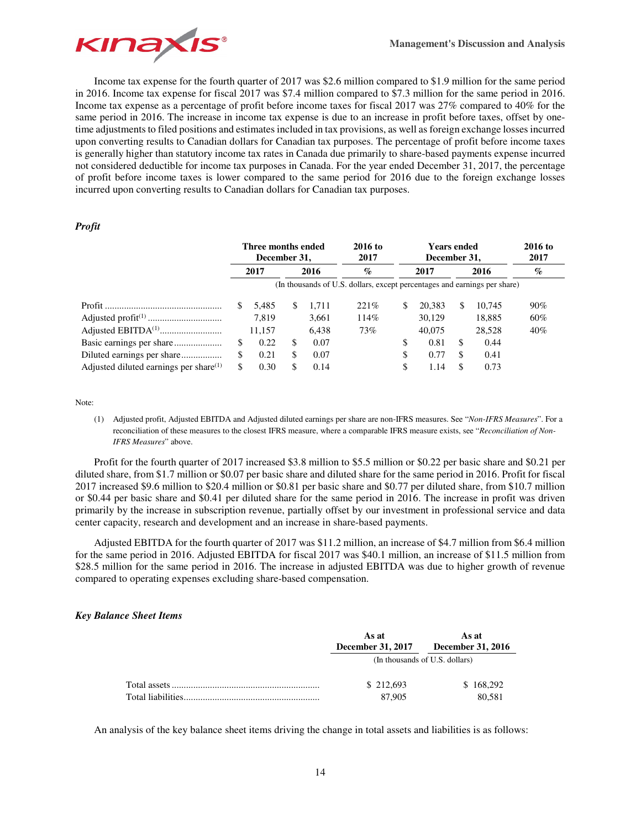

Income tax expense for the fourth quarter of 2017 was \$2.6 million compared to \$1.9 million for the same period in 2016. Income tax expense for fiscal 2017 was \$7.4 million compared to \$7.3 million for the same period in 2016. Income tax expense as a percentage of profit before income taxes for fiscal 2017 was 27% compared to 40% for the same period in 2016. The increase in income tax expense is due to an increase in profit before taxes, offset by onetime adjustments to filed positions and estimates included in tax provisions, as well as foreign exchange losses incurred upon converting results to Canadian dollars for Canadian tax purposes. The percentage of profit before income taxes is generally higher than statutory income tax rates in Canada due primarily to share-based payments expense incurred not considered deductible for income tax purposes in Canada. For the year ended December 31, 2017, the percentage of profit before income taxes is lower compared to the same period for 2016 due to the foreign exchange losses incurred upon converting results to Canadian dollars for Canadian tax purposes.

## *Profit*

|                                           | Three months ended<br>December 31, |     |       | $2016$ to<br>2017                                                         |    | <b>Years ended</b><br>December 31, |   | 2016 to<br>2017 |        |
|-------------------------------------------|------------------------------------|-----|-------|---------------------------------------------------------------------------|----|------------------------------------|---|-----------------|--------|
|                                           | 2017<br>2016                       |     |       | $\%$                                                                      |    | 2017                               |   | 2016            | $\%$   |
|                                           |                                    |     |       | (In thousands of U.S. dollars, except percentages and earnings per share) |    |                                    |   |                 |        |
|                                           | 5.485                              | \$. | 1.711 | 221%                                                                      | \$ | 20.383                             | S | 10.745          | $90\%$ |
|                                           | 7.819                              |     | 3,661 | 114%                                                                      |    | 30,129                             |   | 18,885          | 60%    |
|                                           | 11.157                             |     | 6.438 | 73%                                                                       |    | 40,075                             |   | 28.528          | $40\%$ |
|                                           | 0.22                               | S   | 0.07  |                                                                           | \$ | 0.81                               | S | 0.44            |        |
|                                           | \$<br>0.21                         | S   | 0.07  |                                                                           | \$ | 0.77                               | S | 0.41            |        |
| Adjusted diluted earnings per share $(1)$ | 0.30                               |     | 0.14  |                                                                           | \$ | 1.14                               |   | 0.73            |        |

Note:

(1) Adjusted profit, Adjusted EBITDA and Adjusted diluted earnings per share are non-IFRS measures. See "*Non-IFRS Measures*". For a reconciliation of these measures to the closest IFRS measure, where a comparable IFRS measure exists, see "*Reconciliation of Non-IFRS Measures*" above.

Profit for the fourth quarter of 2017 increased \$3.8 million to \$5.5 million or \$0.22 per basic share and \$0.21 per diluted share, from \$1.7 million or \$0.07 per basic share and diluted share for the same period in 2016. Profit for fiscal 2017 increased \$9.6 million to \$20.4 million or \$0.81 per basic share and \$0.77 per diluted share, from \$10.7 million or \$0.44 per basic share and \$0.41 per diluted share for the same period in 2016. The increase in profit was driven primarily by the increase in subscription revenue, partially offset by our investment in professional service and data center capacity, research and development and an increase in share-based payments.

Adjusted EBITDA for the fourth quarter of 2017 was \$11.2 million, an increase of \$4.7 million from \$6.4 million for the same period in 2016. Adjusted EBITDA for fiscal 2017 was \$40.1 million, an increase of \$11.5 million from \$28.5 million for the same period in 2016. The increase in adjusted EBITDA was due to higher growth of revenue compared to operating expenses excluding share-based compensation.

## *Key Balance Sheet Items*

| As at<br><b>December 31, 2017</b> | As at<br><b>December 31, 2016</b> |
|-----------------------------------|-----------------------------------|
|                                   | (In thousands of U.S. dollars)    |
| \$212,693                         | \$168,292                         |
| 87,905                            | 80.581                            |

An analysis of the key balance sheet items driving the change in total assets and liabilities is as follows: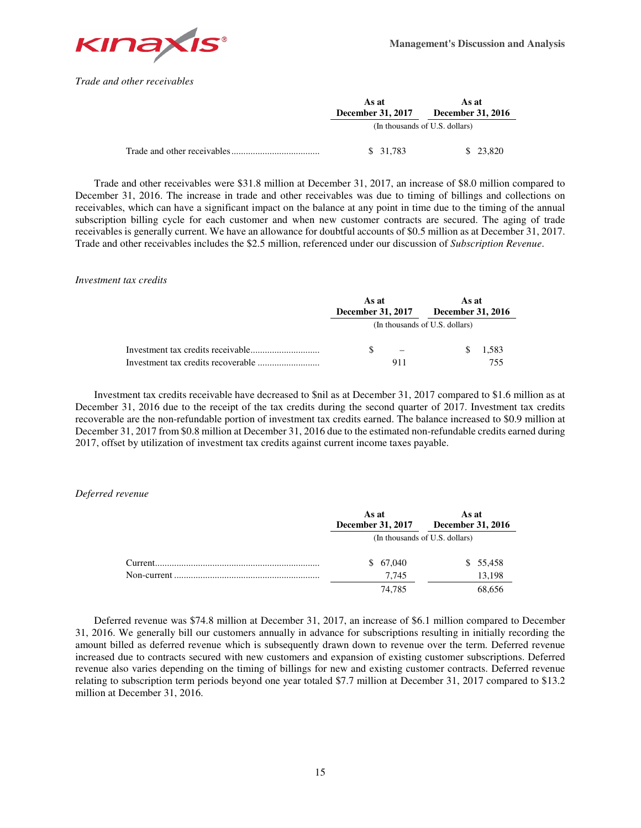

*Trade and other receivables* 

| As at<br><b>December 31, 2017</b> | As at<br>December 31, 2016     |  |
|-----------------------------------|--------------------------------|--|
|                                   | (In thousands of U.S. dollars) |  |
| \$ 31,783                         | \$ 23,820                      |  |

Trade and other receivables were \$31.8 million at December 31, 2017, an increase of \$8.0 million compared to December 31, 2016. The increase in trade and other receivables was due to timing of billings and collections on receivables, which can have a significant impact on the balance at any point in time due to the timing of the annual subscription billing cycle for each customer and when new customer contracts are secured. The aging of trade receivables is generally current. We have an allowance for doubtful accounts of \$0.5 million as at December 31, 2017. Trade and other receivables includes the \$2.5 million, referenced under our discussion of *Subscription Revenue*.

## *Investment tax credits*

|                                   | As at<br><b>December 31, 2017</b> | As at<br><b>December 31, 2016</b> |
|-----------------------------------|-----------------------------------|-----------------------------------|
|                                   |                                   | (In thousands of U.S. dollars)    |
| Investment tax credits receivable |                                   | 1.583                             |
|                                   | 911                               | 755.                              |

Investment tax credits receivable have decreased to \$nil as at December 31, 2017 compared to \$1.6 million as at December 31, 2016 due to the receipt of the tax credits during the second quarter of 2017. Investment tax credits recoverable are the non-refundable portion of investment tax credits earned. The balance increased to \$0.9 million at December 31, 2017 from \$0.8 million at December 31, 2016 due to the estimated non-refundable credits earned during 2017, offset by utilization of investment tax credits against current income taxes payable.

## *Deferred revenue*

|          | As at<br>December 31, 2017     | As at<br>December 31, 2016 |  |  |
|----------|--------------------------------|----------------------------|--|--|
|          | (In thousands of U.S. dollars) |                            |  |  |
| Current. | \$67,040                       | \$55,458                   |  |  |
|          | 7.745                          | 13,198                     |  |  |
|          | 74.785                         | 68,656                     |  |  |

Deferred revenue was \$74.8 million at December 31, 2017, an increase of \$6.1 million compared to December 31, 2016. We generally bill our customers annually in advance for subscriptions resulting in initially recording the amount billed as deferred revenue which is subsequently drawn down to revenue over the term. Deferred revenue increased due to contracts secured with new customers and expansion of existing customer subscriptions. Deferred revenue also varies depending on the timing of billings for new and existing customer contracts. Deferred revenue relating to subscription term periods beyond one year totaled \$7.7 million at December 31, 2017 compared to \$13.2 million at December 31, 2016.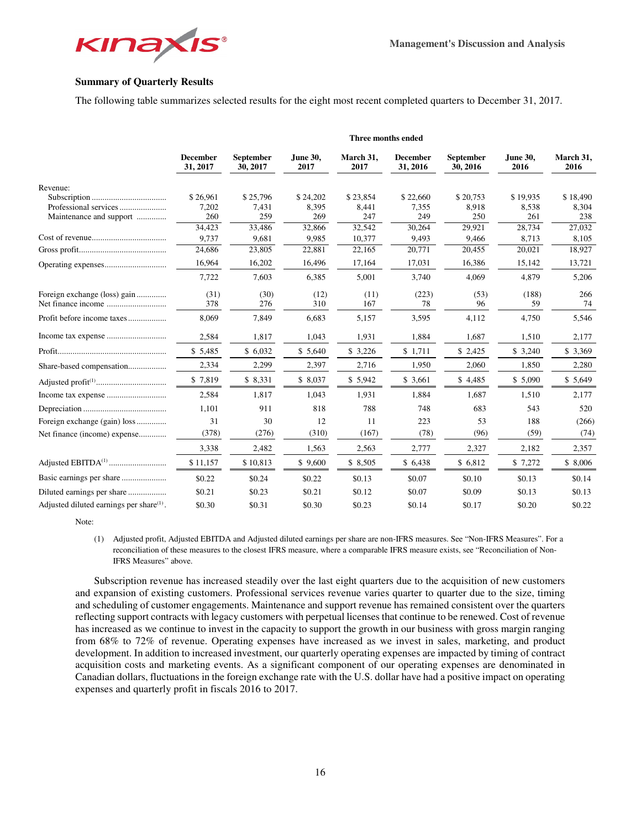

## **Summary of Quarterly Results**

The following table summarizes selected results for the eight most recent completed quarters to December 31, 2017.

|                                                      | Three months ended          |                              |                  |                   |                             |                       |                  |                   |
|------------------------------------------------------|-----------------------------|------------------------------|------------------|-------------------|-----------------------------|-----------------------|------------------|-------------------|
|                                                      | <b>December</b><br>31, 2017 | <b>September</b><br>30, 2017 | June 30,<br>2017 | March 31,<br>2017 | <b>December</b><br>31, 2016 | September<br>30, 2016 | June 30,<br>2016 | March 31,<br>2016 |
| Revenue:                                             |                             |                              |                  |                   |                             |                       |                  |                   |
|                                                      | \$26,961                    | \$25,796                     | \$24,202         | \$23,854          | \$22,660                    | \$20,753              | \$19,935         | \$18,490          |
|                                                      | 7,202                       | 7,431                        | 8,395            | 8,441             | 7,355                       | 8,918                 | 8,538            | 8,304             |
| Maintenance and support                              | 260                         | 259                          | 269              | 247               | 249                         | 250                   | 261              | 238               |
|                                                      | 34,423                      | 33,486                       | 32,866           | 32,542            | 30,264                      | 29,921                | 28,734           | 27,032            |
|                                                      | 9,737                       | 9,681                        | 9,985            | 10,377            | 9,493                       | 9,466                 | 8,713            | 8,105             |
|                                                      | 24,686                      | 23,805                       | 22,881           | 22,165            | 20,771                      | 20,455                | 20,021           | 18,927            |
|                                                      | 16,964                      | 16,202                       | 16,496           | 17,164            | 17,031                      | 16,386                | 15,142           | 13,721            |
|                                                      | 7,722                       | 7,603                        | 6,385            | 5,001             | 3,740                       | 4,069                 | 4,879            | 5,206             |
| Foreign exchange (loss) gain                         | (31)                        | (30)                         | (12)             | (11)              | (223)                       | (53)                  | (188)            | 266               |
|                                                      | 378                         | 276                          | 310              | 167               | 78                          | 96                    | 59               | 74                |
| Profit before income taxes                           | 8,069                       | 7,849                        | 6,683            | 5,157             | 3,595                       | 4,112                 | 4,750            | 5,546             |
|                                                      | 2,584                       | 1,817                        | 1,043            | 1,931             | 1,884                       | 1,687                 | 1,510            | 2,177             |
|                                                      | \$5,485                     | \$6,032                      | \$5,640          | \$3,226           | \$1,711                     | \$2,425               | \$3,240          | \$ 3,369          |
| Share-based compensation                             | 2,334                       | 2,299                        | 2,397            | 2,716             | 1,950                       | 2,060                 | 1,850            | 2,280             |
|                                                      | \$7,819                     | \$ 8,331                     | \$8,037          | \$5,942           | \$ 3,661                    | \$4,485               | \$5,090          | \$5,649           |
|                                                      | 2,584                       | 1,817                        | 1,043            | 1,931             | 1,884                       | 1,687                 | 1,510            | 2,177             |
|                                                      | 1,101                       | 911                          | 818              | 788               | 748                         | 683                   | 543              | 520               |
| Foreign exchange (gain) loss                         | 31                          | 30                           | 12               | 11                | 223                         | 53                    | 188              | (266)             |
| Net finance (income) expense                         | (378)                       | (276)                        | (310)            | (167)             | (78)                        | (96)                  | (59)             | (74)              |
|                                                      | 3,338                       | 2,482                        | 1,563            | 2,563             | 2,777                       | 2,327                 | 2,182            | 2,357             |
|                                                      | \$11,157                    | \$10,813                     | \$9,600          | \$ 8,505          | \$6,438                     | \$6,812               | \$7,272          | \$8,006           |
|                                                      | \$0.22                      | \$0.24                       | \$0.22           | \$0.13            | \$0.07                      | \$0.10                | \$0.13           | \$0.14            |
|                                                      | \$0.21                      | \$0.23                       | \$0.21           | \$0.12            | \$0.07                      | \$0.09                | \$0.13           | \$0.13            |
|                                                      |                             |                              |                  |                   |                             |                       |                  |                   |
| Adjusted diluted earnings per share <sup>(1)</sup> . | \$0.30                      | \$0.31                       | \$0.30           | \$0.23            | \$0.14                      | \$0.17                | \$0.20           | \$0.22            |

Note:

(1) Adjusted profit, Adjusted EBITDA and Adjusted diluted earnings per share are non-IFRS measures. See "Non-IFRS Measures". For a reconciliation of these measures to the closest IFRS measure, where a comparable IFRS measure exists, see "Reconciliation of Non-IFRS Measures" above.

Subscription revenue has increased steadily over the last eight quarters due to the acquisition of new customers and expansion of existing customers. Professional services revenue varies quarter to quarter due to the size, timing and scheduling of customer engagements. Maintenance and support revenue has remained consistent over the quarters reflecting support contracts with legacy customers with perpetual licenses that continue to be renewed. Cost of revenue has increased as we continue to invest in the capacity to support the growth in our business with gross margin ranging from 68% to 72% of revenue. Operating expenses have increased as we invest in sales, marketing, and product development. In addition to increased investment, our quarterly operating expenses are impacted by timing of contract acquisition costs and marketing events. As a significant component of our operating expenses are denominated in Canadian dollars, fluctuations in the foreign exchange rate with the U.S. dollar have had a positive impact on operating expenses and quarterly profit in fiscals 2016 to 2017.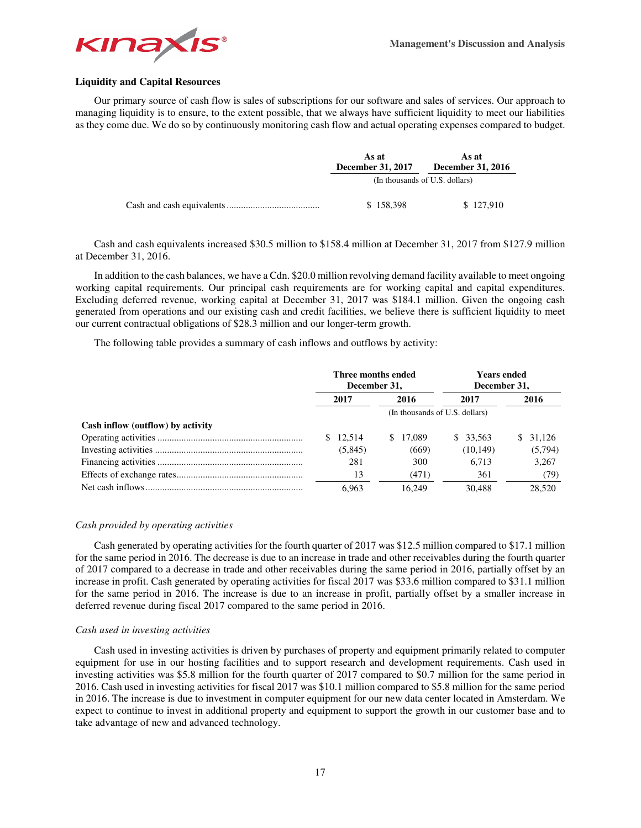

## **Liquidity and Capital Resources**

Our primary source of cash flow is sales of subscriptions for our software and sales of services. Our approach to managing liquidity is to ensure, to the extent possible, that we always have sufficient liquidity to meet our liabilities as they come due. We do so by continuously monitoring cash flow and actual operating expenses compared to budget.

| As at<br><b>December 31, 2017</b> | As at<br>December 31, 2016     |  |
|-----------------------------------|--------------------------------|--|
|                                   | (In thousands of U.S. dollars) |  |
| \$158,398                         | \$127,910                      |  |

Cash and cash equivalents increased \$30.5 million to \$158.4 million at December 31, 2017 from \$127.9 million at December 31, 2016.

In addition to the cash balances, we have a Cdn. \$20.0 million revolving demand facility available to meet ongoing working capital requirements. Our principal cash requirements are for working capital and capital expenditures. Excluding deferred revenue, working capital at December 31, 2017 was \$184.1 million. Given the ongoing cash generated from operations and our existing cash and credit facilities, we believe there is sufficient liquidity to meet our current contractual obligations of \$28.3 million and our longer-term growth.

The following table provides a summary of cash inflows and outflows by activity:

|                                   | Three months ended<br>December 31, |                                | <b>Years ended</b><br>December 31, |              |
|-----------------------------------|------------------------------------|--------------------------------|------------------------------------|--------------|
|                                   | 2017                               | 2016                           | 2017                               | 2016         |
|                                   |                                    | (In thousands of U.S. dollars) |                                    |              |
| Cash inflow (outflow) by activity |                                    |                                |                                    |              |
|                                   | \$12.514                           | 17,089<br><sup>S</sup>         | \$ 33.563                          | 31.126<br>S. |
|                                   | (5,845)                            | (669)                          | (10, 149)                          | (5,794)      |
|                                   | 281                                | 300                            | 6.713                              | 3,267        |
|                                   | 13                                 | (471)                          | 361                                | (79)         |
|                                   | 6.963                              | 16.249                         | 30.488                             | 28.520       |

## *Cash provided by operating activities*

Cash generated by operating activities for the fourth quarter of 2017 was \$12.5 million compared to \$17.1 million for the same period in 2016. The decrease is due to an increase in trade and other receivables during the fourth quarter of 2017 compared to a decrease in trade and other receivables during the same period in 2016, partially offset by an increase in profit. Cash generated by operating activities for fiscal 2017 was \$33.6 million compared to \$31.1 million for the same period in 2016. The increase is due to an increase in profit, partially offset by a smaller increase in deferred revenue during fiscal 2017 compared to the same period in 2016.

#### *Cash used in investing activities*

Cash used in investing activities is driven by purchases of property and equipment primarily related to computer equipment for use in our hosting facilities and to support research and development requirements. Cash used in investing activities was \$5.8 million for the fourth quarter of 2017 compared to \$0.7 million for the same period in 2016. Cash used in investing activities for fiscal 2017 was \$10.1 million compared to \$5.8 million for the same period in 2016. The increase is due to investment in computer equipment for our new data center located in Amsterdam. We expect to continue to invest in additional property and equipment to support the growth in our customer base and to take advantage of new and advanced technology.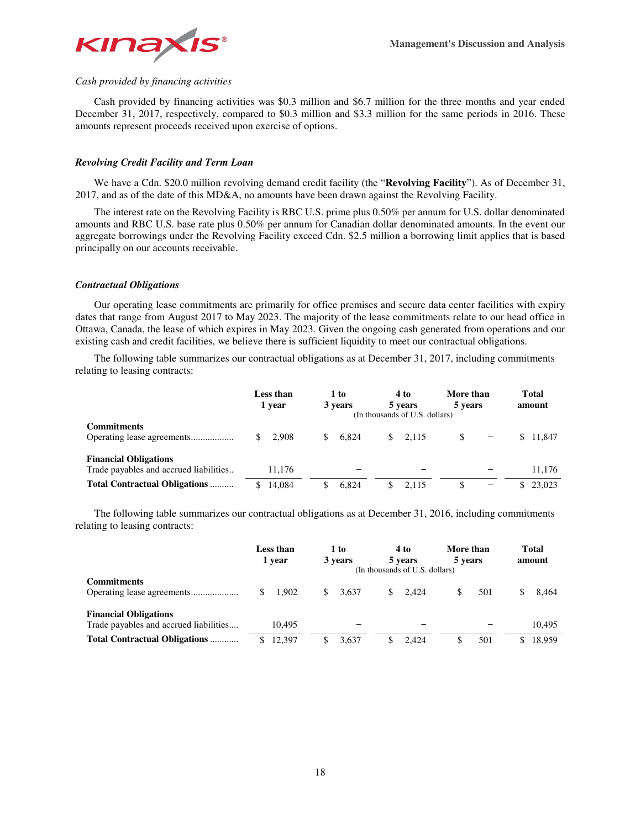

## *Cash provided by financing activities*

Cash provided by financing activities was \$0.3 million and \$6.7 million for the three months and year ended December 31, 2017, respectively, compared to \$0.3 million and \$3.3 million for the same periods in 2016. These amounts represent proceeds received upon exercise of options.

## *Revolving Credit Facility and Term Loan*

We have a Cdn. \$20.0 million revolving demand credit facility (the "**Revolving Facility**"). As of December 31, 2017, and as of the date of this MD&A, no amounts have been drawn against the Revolving Facility.

The interest rate on the Revolving Facility is RBC U.S. prime plus 0.50% per annum for U.S. dollar denominated amounts and RBC U.S. base rate plus 0.50% per annum for Canadian dollar denominated amounts. In the event our aggregate borrowings under the Revolving Facility exceed Cdn. \$2.5 million a borrowing limit applies that is based principally on our accounts receivable.

## *Contractual Obligations*

Our operating lease commitments are primarily for office premises and secure data center facilities with expiry dates that range from August 2017 to May 2023. The majority of the lease commitments relate to our head office in Ottawa, Canada, the lease of which expires in May 2023. Given the ongoing cash generated from operations and our existing cash and credit facilities, we believe there is sufficient liquidity to meet our contractual obligations.

The following table summarizes our contractual obligations as at December 31, 2017, including commitments relating to leasing contracts:

|                                                                        | Less than<br>1 year | 1 to<br>3 years | 4 to<br>5 years<br>(In thousands of U.S. dollars) | More than<br>5 years           | <b>Total</b><br>amount |
|------------------------------------------------------------------------|---------------------|-----------------|---------------------------------------------------|--------------------------------|------------------------|
| <b>Commitments</b>                                                     | \$2.908             | 6.824<br>S.     | 2.115<br><sup>\$</sup>                            | \$<br>$\overline{\phantom{m}}$ | \$11.847               |
| <b>Financial Obligations</b><br>Trade payables and accrued liabilities | 11.176              |                 |                                                   |                                | 11,176                 |
| <b>Total Contractual Obligations </b>                                  | 14.084              | 6.824<br>\$.    | 2.115<br>\$                                       | $\qquad \qquad$                | \$23.023               |

The following table summarizes our contractual obligations as at December 31, 2016, including commitments relating to leasing contracts:

|                                                                        | Less than<br>1 year | 1 to<br>3 years | 4 to<br>5 years<br>(In thousands of U.S. dollars) | More than<br>5 years | <b>Total</b><br>amount |
|------------------------------------------------------------------------|---------------------|-----------------|---------------------------------------------------|----------------------|------------------------|
| <b>Commitments</b>                                                     | 1.902<br>S.         | 3.637<br>S.     | 2.424<br>\$                                       | 501<br>S             | 8.464                  |
| <b>Financial Obligations</b><br>Trade payables and accrued liabilities | 10.495              |                 |                                                   |                      | 10.495                 |
| <b>Total Contractual Obligations </b>                                  | 12.397              | 3.637           | 2.424                                             | 501                  | 18.959                 |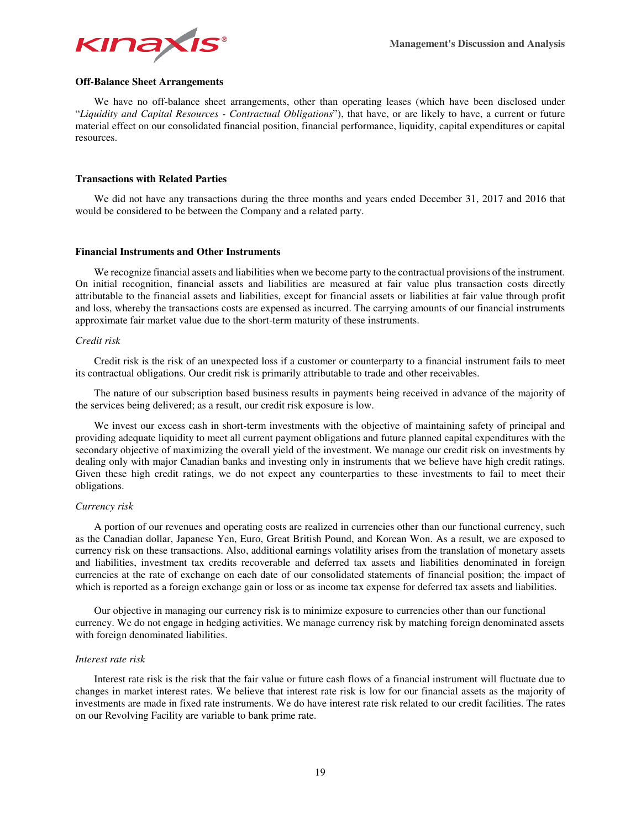

## **Off-Balance Sheet Arrangements**

We have no off-balance sheet arrangements, other than operating leases (which have been disclosed under "*Liquidity and Capital Resources - Contractual Obligations*"), that have, or are likely to have, a current or future material effect on our consolidated financial position, financial performance, liquidity, capital expenditures or capital resources.

## **Transactions with Related Parties**

We did not have any transactions during the three months and years ended December 31, 2017 and 2016 that would be considered to be between the Company and a related party.

## **Financial Instruments and Other Instruments**

We recognize financial assets and liabilities when we become party to the contractual provisions of the instrument. On initial recognition, financial assets and liabilities are measured at fair value plus transaction costs directly attributable to the financial assets and liabilities, except for financial assets or liabilities at fair value through profit and loss, whereby the transactions costs are expensed as incurred. The carrying amounts of our financial instruments approximate fair market value due to the short-term maturity of these instruments.

## *Credit risk*

Credit risk is the risk of an unexpected loss if a customer or counterparty to a financial instrument fails to meet its contractual obligations. Our credit risk is primarily attributable to trade and other receivables.

The nature of our subscription based business results in payments being received in advance of the majority of the services being delivered; as a result, our credit risk exposure is low.

We invest our excess cash in short-term investments with the objective of maintaining safety of principal and providing adequate liquidity to meet all current payment obligations and future planned capital expenditures with the secondary objective of maximizing the overall yield of the investment. We manage our credit risk on investments by dealing only with major Canadian banks and investing only in instruments that we believe have high credit ratings. Given these high credit ratings, we do not expect any counterparties to these investments to fail to meet their obligations.

## *Currency risk*

A portion of our revenues and operating costs are realized in currencies other than our functional currency, such as the Canadian dollar, Japanese Yen, Euro, Great British Pound, and Korean Won. As a result, we are exposed to currency risk on these transactions. Also, additional earnings volatility arises from the translation of monetary assets and liabilities, investment tax credits recoverable and deferred tax assets and liabilities denominated in foreign currencies at the rate of exchange on each date of our consolidated statements of financial position; the impact of which is reported as a foreign exchange gain or loss or as income tax expense for deferred tax assets and liabilities.

Our objective in managing our currency risk is to minimize exposure to currencies other than our functional currency. We do not engage in hedging activities. We manage currency risk by matching foreign denominated assets with foreign denominated liabilities.

#### *Interest rate risk*

Interest rate risk is the risk that the fair value or future cash flows of a financial instrument will fluctuate due to changes in market interest rates. We believe that interest rate risk is low for our financial assets as the majority of investments are made in fixed rate instruments. We do have interest rate risk related to our credit facilities. The rates on our Revolving Facility are variable to bank prime rate.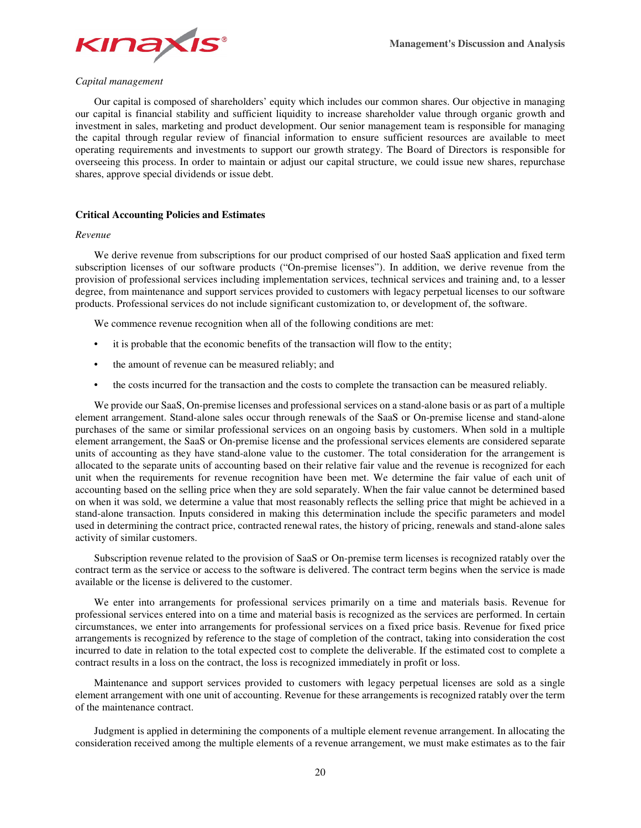## *Capital management*

Our capital is composed of shareholders' equity which includes our common shares. Our objective in managing our capital is financial stability and sufficient liquidity to increase shareholder value through organic growth and investment in sales, marketing and product development. Our senior management team is responsible for managing the capital through regular review of financial information to ensure sufficient resources are available to meet operating requirements and investments to support our growth strategy. The Board of Directors is responsible for overseeing this process. In order to maintain or adjust our capital structure, we could issue new shares, repurchase shares, approve special dividends or issue debt.

## **Critical Accounting Policies and Estimates**

## *Revenue*

We derive revenue from subscriptions for our product comprised of our hosted SaaS application and fixed term subscription licenses of our software products ("On-premise licenses"). In addition, we derive revenue from the provision of professional services including implementation services, technical services and training and, to a lesser degree, from maintenance and support services provided to customers with legacy perpetual licenses to our software products. Professional services do not include significant customization to, or development of, the software.

We commence revenue recognition when all of the following conditions are met:

- it is probable that the economic benefits of the transaction will flow to the entity;
- the amount of revenue can be measured reliably; and
- the costs incurred for the transaction and the costs to complete the transaction can be measured reliably.

We provide our SaaS, On-premise licenses and professional services on a stand-alone basis or as part of a multiple element arrangement. Stand-alone sales occur through renewals of the SaaS or On-premise license and stand-alone purchases of the same or similar professional services on an ongoing basis by customers. When sold in a multiple element arrangement, the SaaS or On-premise license and the professional services elements are considered separate units of accounting as they have stand-alone value to the customer. The total consideration for the arrangement is allocated to the separate units of accounting based on their relative fair value and the revenue is recognized for each unit when the requirements for revenue recognition have been met. We determine the fair value of each unit of accounting based on the selling price when they are sold separately. When the fair value cannot be determined based on when it was sold, we determine a value that most reasonably reflects the selling price that might be achieved in a stand-alone transaction. Inputs considered in making this determination include the specific parameters and model used in determining the contract price, contracted renewal rates, the history of pricing, renewals and stand-alone sales activity of similar customers.

Subscription revenue related to the provision of SaaS or On-premise term licenses is recognized ratably over the contract term as the service or access to the software is delivered. The contract term begins when the service is made available or the license is delivered to the customer.

We enter into arrangements for professional services primarily on a time and materials basis. Revenue for professional services entered into on a time and material basis is recognized as the services are performed. In certain circumstances, we enter into arrangements for professional services on a fixed price basis. Revenue for fixed price arrangements is recognized by reference to the stage of completion of the contract, taking into consideration the cost incurred to date in relation to the total expected cost to complete the deliverable. If the estimated cost to complete a contract results in a loss on the contract, the loss is recognized immediately in profit or loss.

Maintenance and support services provided to customers with legacy perpetual licenses are sold as a single element arrangement with one unit of accounting. Revenue for these arrangements is recognized ratably over the term of the maintenance contract.

Judgment is applied in determining the components of a multiple element revenue arrangement. In allocating the consideration received among the multiple elements of a revenue arrangement, we must make estimates as to the fair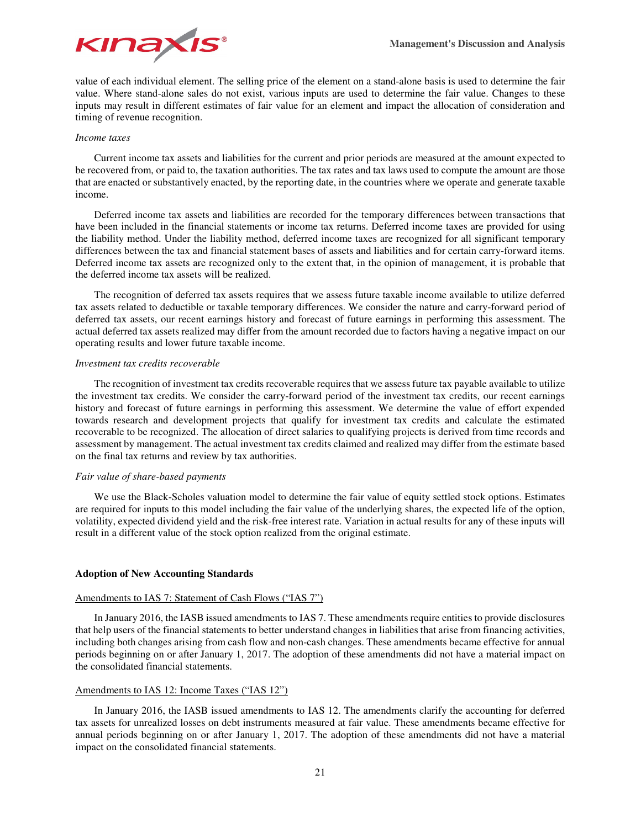

value of each individual element. The selling price of the element on a stand-alone basis is used to determine the fair value. Where stand-alone sales do not exist, various inputs are used to determine the fair value. Changes to these inputs may result in different estimates of fair value for an element and impact the allocation of consideration and timing of revenue recognition.

## *Income taxes*

Current income tax assets and liabilities for the current and prior periods are measured at the amount expected to be recovered from, or paid to, the taxation authorities. The tax rates and tax laws used to compute the amount are those that are enacted or substantively enacted, by the reporting date, in the countries where we operate and generate taxable income.

Deferred income tax assets and liabilities are recorded for the temporary differences between transactions that have been included in the financial statements or income tax returns. Deferred income taxes are provided for using the liability method. Under the liability method, deferred income taxes are recognized for all significant temporary differences between the tax and financial statement bases of assets and liabilities and for certain carry-forward items. Deferred income tax assets are recognized only to the extent that, in the opinion of management, it is probable that the deferred income tax assets will be realized.

The recognition of deferred tax assets requires that we assess future taxable income available to utilize deferred tax assets related to deductible or taxable temporary differences. We consider the nature and carry-forward period of deferred tax assets, our recent earnings history and forecast of future earnings in performing this assessment. The actual deferred tax assets realized may differ from the amount recorded due to factors having a negative impact on our operating results and lower future taxable income.

## *Investment tax credits recoverable*

The recognition of investment tax credits recoverable requires that we assess future tax payable available to utilize the investment tax credits. We consider the carry-forward period of the investment tax credits, our recent earnings history and forecast of future earnings in performing this assessment. We determine the value of effort expended towards research and development projects that qualify for investment tax credits and calculate the estimated recoverable to be recognized. The allocation of direct salaries to qualifying projects is derived from time records and assessment by management. The actual investment tax credits claimed and realized may differ from the estimate based on the final tax returns and review by tax authorities.

## *Fair value of share-based payments*

We use the Black-Scholes valuation model to determine the fair value of equity settled stock options. Estimates are required for inputs to this model including the fair value of the underlying shares, the expected life of the option, volatility, expected dividend yield and the risk-free interest rate. Variation in actual results for any of these inputs will result in a different value of the stock option realized from the original estimate.

## **Adoption of New Accounting Standards**

## Amendments to IAS 7: Statement of Cash Flows ("IAS 7")

In January 2016, the IASB issued amendments to IAS 7. These amendments require entities to provide disclosures that help users of the financial statements to better understand changes in liabilities that arise from financing activities, including both changes arising from cash flow and non-cash changes. These amendments became effective for annual periods beginning on or after January 1, 2017. The adoption of these amendments did not have a material impact on the consolidated financial statements.

## Amendments to IAS 12: Income Taxes ("IAS 12")

In January 2016, the IASB issued amendments to IAS 12. The amendments clarify the accounting for deferred tax assets for unrealized losses on debt instruments measured at fair value. These amendments became effective for annual periods beginning on or after January 1, 2017. The adoption of these amendments did not have a material impact on the consolidated financial statements.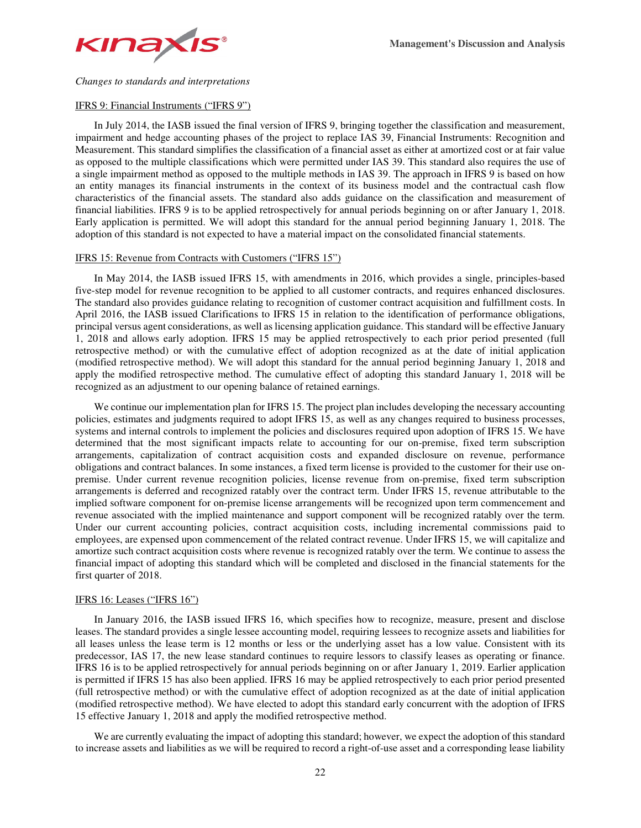

*Changes to standards and interpretations* 

## IFRS 9: Financial Instruments ("IFRS 9")

In July 2014, the IASB issued the final version of IFRS 9, bringing together the classification and measurement, impairment and hedge accounting phases of the project to replace IAS 39, Financial Instruments: Recognition and Measurement. This standard simplifies the classification of a financial asset as either at amortized cost or at fair value as opposed to the multiple classifications which were permitted under IAS 39. This standard also requires the use of a single impairment method as opposed to the multiple methods in IAS 39. The approach in IFRS 9 is based on how an entity manages its financial instruments in the context of its business model and the contractual cash flow characteristics of the financial assets. The standard also adds guidance on the classification and measurement of financial liabilities. IFRS 9 is to be applied retrospectively for annual periods beginning on or after January 1, 2018. Early application is permitted. We will adopt this standard for the annual period beginning January 1, 2018. The adoption of this standard is not expected to have a material impact on the consolidated financial statements.

## IFRS 15: Revenue from Contracts with Customers ("IFRS 15")

In May 2014, the IASB issued IFRS 15, with amendments in 2016, which provides a single, principles-based five-step model for revenue recognition to be applied to all customer contracts, and requires enhanced disclosures. The standard also provides guidance relating to recognition of customer contract acquisition and fulfillment costs. In April 2016, the IASB issued Clarifications to IFRS 15 in relation to the identification of performance obligations, principal versus agent considerations, as well as licensing application guidance. This standard will be effective January 1, 2018 and allows early adoption. IFRS 15 may be applied retrospectively to each prior period presented (full retrospective method) or with the cumulative effect of adoption recognized as at the date of initial application (modified retrospective method). We will adopt this standard for the annual period beginning January 1, 2018 and apply the modified retrospective method. The cumulative effect of adopting this standard January 1, 2018 will be recognized as an adjustment to our opening balance of retained earnings.

We continue our implementation plan for IFRS 15. The project plan includes developing the necessary accounting policies, estimates and judgments required to adopt IFRS 15, as well as any changes required to business processes, systems and internal controls to implement the policies and disclosures required upon adoption of IFRS 15. We have determined that the most significant impacts relate to accounting for our on-premise, fixed term subscription arrangements, capitalization of contract acquisition costs and expanded disclosure on revenue, performance obligations and contract balances. In some instances, a fixed term license is provided to the customer for their use onpremise. Under current revenue recognition policies, license revenue from on-premise, fixed term subscription arrangements is deferred and recognized ratably over the contract term. Under IFRS 15, revenue attributable to the implied software component for on-premise license arrangements will be recognized upon term commencement and revenue associated with the implied maintenance and support component will be recognized ratably over the term. Under our current accounting policies, contract acquisition costs, including incremental commissions paid to employees, are expensed upon commencement of the related contract revenue. Under IFRS 15, we will capitalize and amortize such contract acquisition costs where revenue is recognized ratably over the term. We continue to assess the financial impact of adopting this standard which will be completed and disclosed in the financial statements for the first quarter of 2018.

## IFRS 16: Leases ("IFRS 16")

In January 2016, the IASB issued IFRS 16, which specifies how to recognize, measure, present and disclose leases. The standard provides a single lessee accounting model, requiring lessees to recognize assets and liabilities for all leases unless the lease term is 12 months or less or the underlying asset has a low value. Consistent with its predecessor, IAS 17, the new lease standard continues to require lessors to classify leases as operating or finance. IFRS 16 is to be applied retrospectively for annual periods beginning on or after January 1, 2019. Earlier application is permitted if IFRS 15 has also been applied. IFRS 16 may be applied retrospectively to each prior period presented (full retrospective method) or with the cumulative effect of adoption recognized as at the date of initial application (modified retrospective method). We have elected to adopt this standard early concurrent with the adoption of IFRS 15 effective January 1, 2018 and apply the modified retrospective method.

We are currently evaluating the impact of adopting this standard; however, we expect the adoption of this standard to increase assets and liabilities as we will be required to record a right-of-use asset and a corresponding lease liability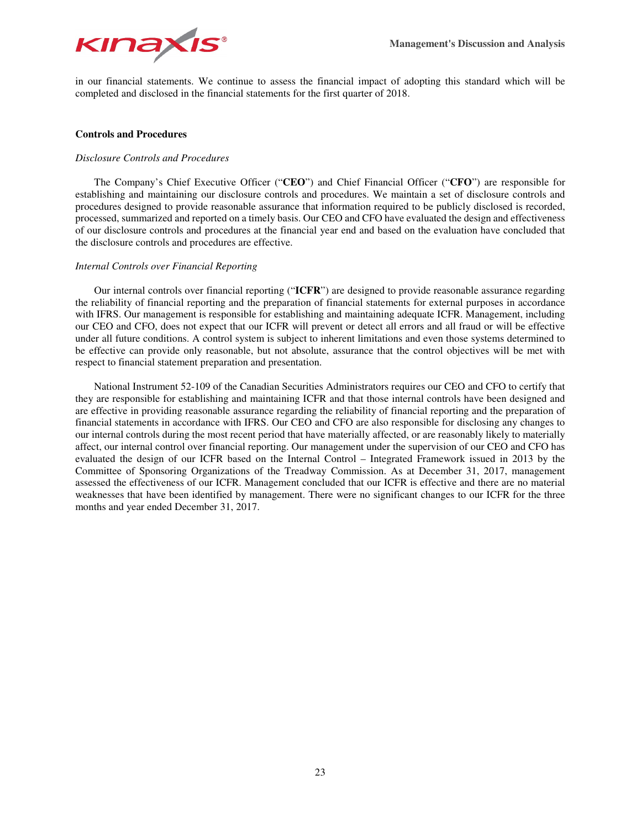

in our financial statements. We continue to assess the financial impact of adopting this standard which will be completed and disclosed in the financial statements for the first quarter of 2018.

## **Controls and Procedures**

## *Disclosure Controls and Procedures*

The Company's Chief Executive Officer ("**CEO**") and Chief Financial Officer ("**CFO**") are responsible for establishing and maintaining our disclosure controls and procedures. We maintain a set of disclosure controls and procedures designed to provide reasonable assurance that information required to be publicly disclosed is recorded, processed, summarized and reported on a timely basis. Our CEO and CFO have evaluated the design and effectiveness of our disclosure controls and procedures at the financial year end and based on the evaluation have concluded that the disclosure controls and procedures are effective.

## *Internal Controls over Financial Reporting*

Our internal controls over financial reporting ("**ICFR**") are designed to provide reasonable assurance regarding the reliability of financial reporting and the preparation of financial statements for external purposes in accordance with IFRS. Our management is responsible for establishing and maintaining adequate ICFR. Management, including our CEO and CFO, does not expect that our ICFR will prevent or detect all errors and all fraud or will be effective under all future conditions. A control system is subject to inherent limitations and even those systems determined to be effective can provide only reasonable, but not absolute, assurance that the control objectives will be met with respect to financial statement preparation and presentation.

National Instrument 52-109 of the Canadian Securities Administrators requires our CEO and CFO to certify that they are responsible for establishing and maintaining ICFR and that those internal controls have been designed and are effective in providing reasonable assurance regarding the reliability of financial reporting and the preparation of financial statements in accordance with IFRS. Our CEO and CFO are also responsible for disclosing any changes to our internal controls during the most recent period that have materially affected, or are reasonably likely to materially affect, our internal control over financial reporting. Our management under the supervision of our CEO and CFO has evaluated the design of our ICFR based on the Internal Control – Integrated Framework issued in 2013 by the Committee of Sponsoring Organizations of the Treadway Commission. As at December 31, 2017, management assessed the effectiveness of our ICFR. Management concluded that our ICFR is effective and there are no material weaknesses that have been identified by management. There were no significant changes to our ICFR for the three months and year ended December 31, 2017.